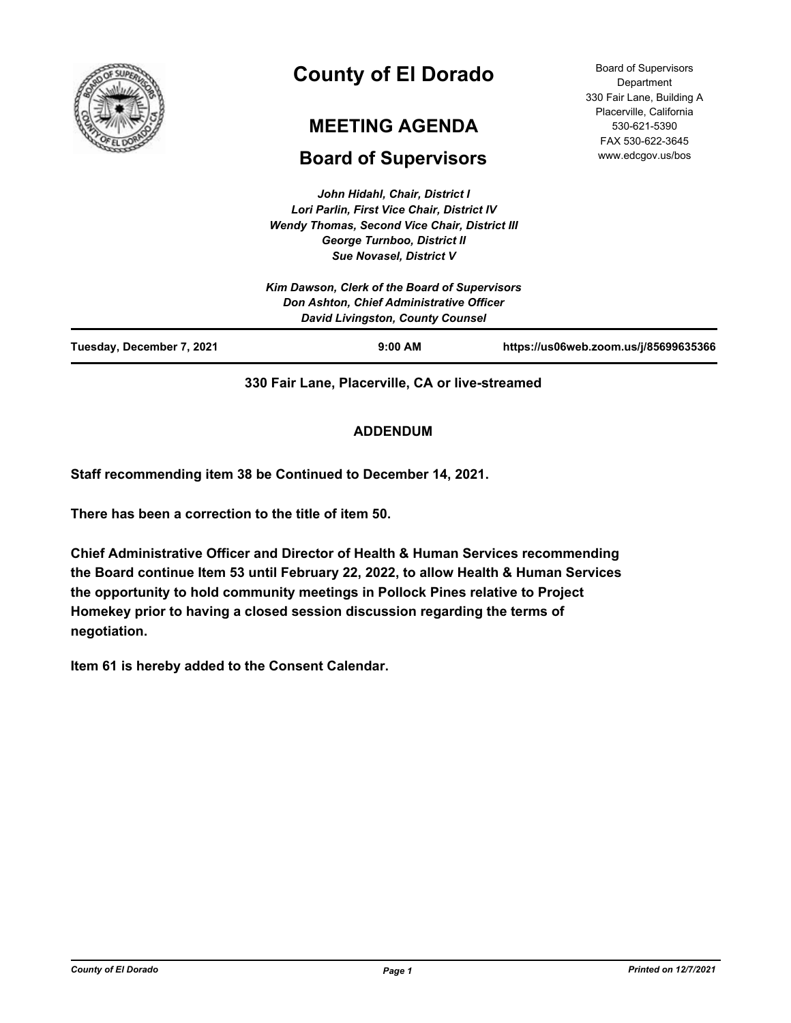

# **County of El Dorado**

# **MEETING AGENDA**

# **Board of Supervisors**

*John Hidahl, Chair, District I Lori Parlin, First Vice Chair, District IV Wendy Thomas, Second Vice Chair, District III George Turnboo, District II*

Board of Supervisors **Department** 330 Fair Lane, Building A Placerville, California 530-621-5390 FAX 530-622-3645 www.edcgov.us/bos

|                                                                                                                               | <b>Sue Novasel, District V</b> |                                       |
|-------------------------------------------------------------------------------------------------------------------------------|--------------------------------|---------------------------------------|
| Kim Dawson, Clerk of the Board of Supervisors<br>Don Ashton, Chief Administrative Officer<br>David Livingston, County Counsel |                                |                                       |
| Tuesday, December 7, 2021                                                                                                     | $9:00$ AM                      | https://us06web.zoom.us/j/85699635366 |

**330 Fair Lane, Placerville, CA or live-streamed**

# **ADDENDUM**

**Staff recommending item 38 be Continued to December 14, 2021.**

**There has been a correction to the title of item 50.**

**Chief Administrative Officer and Director of Health & Human Services recommending the Board continue Item 53 until February 22, 2022, to allow Health & Human Services the opportunity to hold community meetings in Pollock Pines relative to Project Homekey prior to having a closed session discussion regarding the terms of negotiation.**

**Item 61 is hereby added to the Consent Calendar.**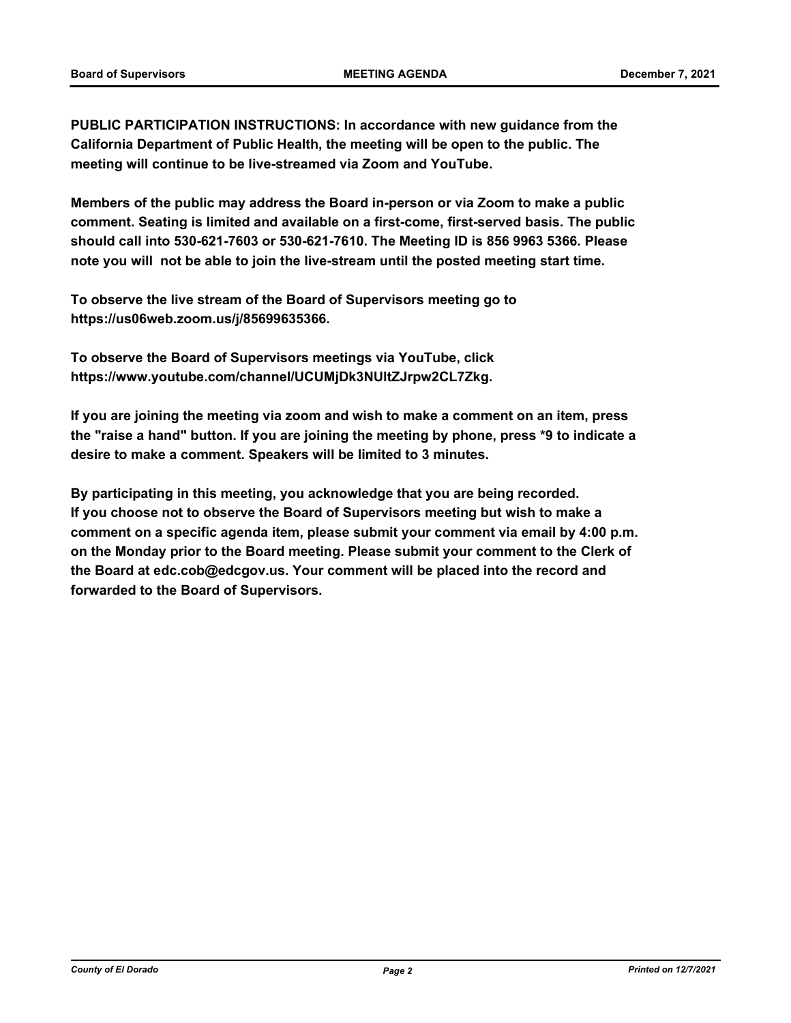**PUBLIC PARTICIPATION INSTRUCTIONS: In accordance with new guidance from the California Department of Public Health, the meeting will be open to the public. The meeting will continue to be live-streamed via Zoom and YouTube.**

**Members of the public may address the Board in-person or via Zoom to make a public comment. Seating is limited and available on a first-come, first-served basis. The public should call into 530-621-7603 or 530-621-7610. The Meeting ID is 856 9963 5366. Please note you will not be able to join the live-stream until the posted meeting start time.**

**To observe the live stream of the Board of Supervisors meeting go to https://us06web.zoom.us/j/85699635366.**

**To observe the Board of Supervisors meetings via YouTube, click https://www.youtube.com/channel/UCUMjDk3NUltZJrpw2CL7Zkg.**

**If you are joining the meeting via zoom and wish to make a comment on an item, press the "raise a hand" button. If you are joining the meeting by phone, press \*9 to indicate a desire to make a comment. Speakers will be limited to 3 minutes.**

**By participating in this meeting, you acknowledge that you are being recorded. If you choose not to observe the Board of Supervisors meeting but wish to make a comment on a specific agenda item, please submit your comment via email by 4:00 p.m. on the Monday prior to the Board meeting. Please submit your comment to the Clerk of the Board at edc.cob@edcgov.us. Your comment will be placed into the record and forwarded to the Board of Supervisors.**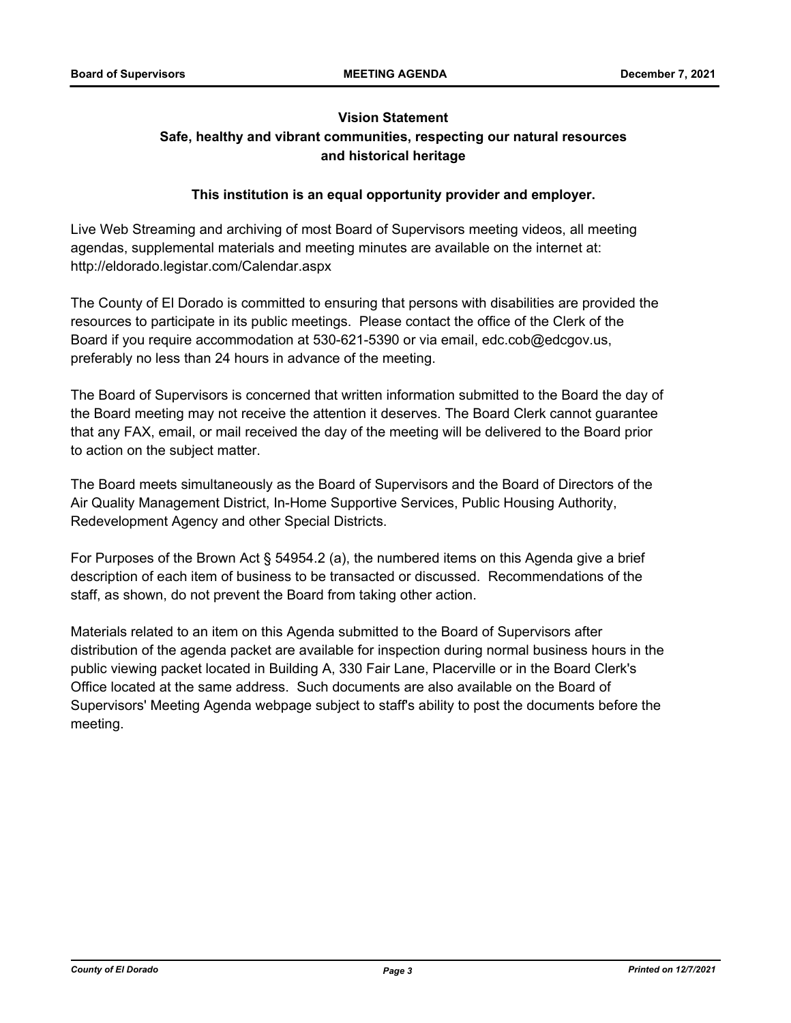# **Vision Statement Safe, healthy and vibrant communities, respecting our natural resources and historical heritage**

## **This institution is an equal opportunity provider and employer.**

Live Web Streaming and archiving of most Board of Supervisors meeting videos, all meeting agendas, supplemental materials and meeting minutes are available on the internet at: http://eldorado.legistar.com/Calendar.aspx

The County of El Dorado is committed to ensuring that persons with disabilities are provided the resources to participate in its public meetings. Please contact the office of the Clerk of the Board if you require accommodation at 530-621-5390 or via email, edc.cob@edcgov.us, preferably no less than 24 hours in advance of the meeting.

The Board of Supervisors is concerned that written information submitted to the Board the day of the Board meeting may not receive the attention it deserves. The Board Clerk cannot guarantee that any FAX, email, or mail received the day of the meeting will be delivered to the Board prior to action on the subject matter.

The Board meets simultaneously as the Board of Supervisors and the Board of Directors of the Air Quality Management District, In-Home Supportive Services, Public Housing Authority, Redevelopment Agency and other Special Districts.

For Purposes of the Brown Act § 54954.2 (a), the numbered items on this Agenda give a brief description of each item of business to be transacted or discussed. Recommendations of the staff, as shown, do not prevent the Board from taking other action.

Materials related to an item on this Agenda submitted to the Board of Supervisors after distribution of the agenda packet are available for inspection during normal business hours in the public viewing packet located in Building A, 330 Fair Lane, Placerville or in the Board Clerk's Office located at the same address. Such documents are also available on the Board of Supervisors' Meeting Agenda webpage subject to staff's ability to post the documents before the meeting.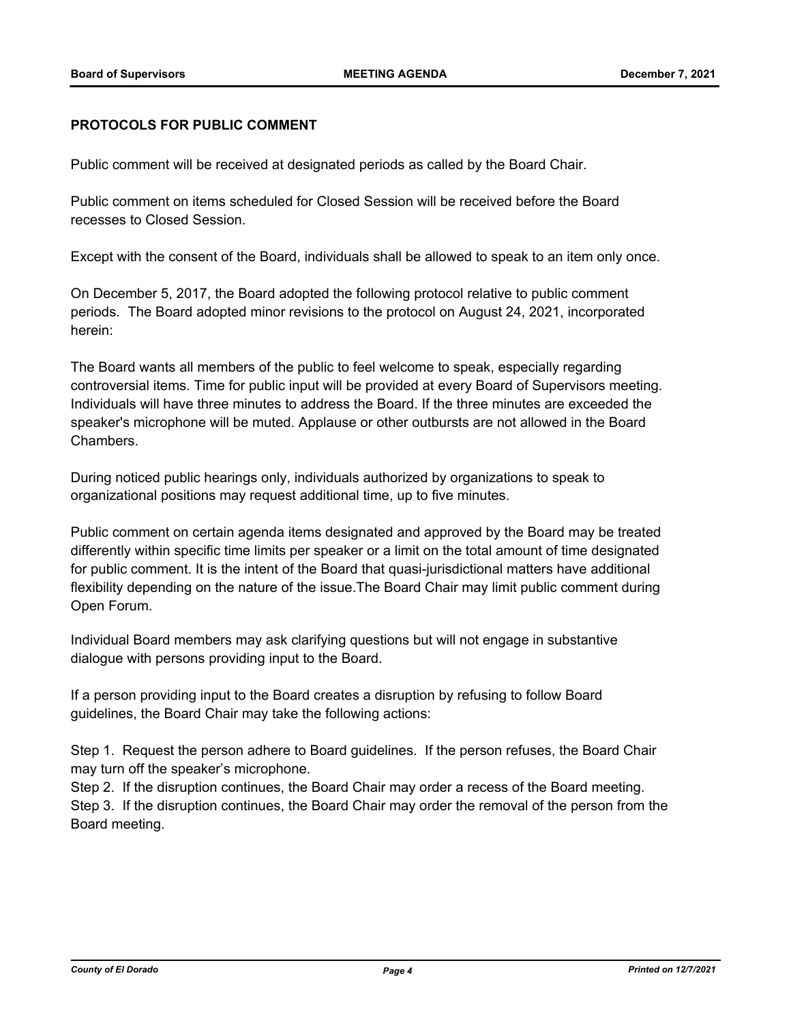#### **PROTOCOLS FOR PUBLIC COMMENT**

Public comment will be received at designated periods as called by the Board Chair.

Public comment on items scheduled for Closed Session will be received before the Board recesses to Closed Session.

Except with the consent of the Board, individuals shall be allowed to speak to an item only once.

On December 5, 2017, the Board adopted the following protocol relative to public comment periods. The Board adopted minor revisions to the protocol on August 24, 2021, incorporated herein:

The Board wants all members of the public to feel welcome to speak, especially regarding controversial items. Time for public input will be provided at every Board of Supervisors meeting. Individuals will have three minutes to address the Board. If the three minutes are exceeded the speaker's microphone will be muted. Applause or other outbursts are not allowed in the Board Chambers.

During noticed public hearings only, individuals authorized by organizations to speak to organizational positions may request additional time, up to five minutes.

Public comment on certain agenda items designated and approved by the Board may be treated differently within specific time limits per speaker or a limit on the total amount of time designated for public comment. It is the intent of the Board that quasi-jurisdictional matters have additional flexibility depending on the nature of the issue.The Board Chair may limit public comment during Open Forum.

Individual Board members may ask clarifying questions but will not engage in substantive dialogue with persons providing input to the Board.

If a person providing input to the Board creates a disruption by refusing to follow Board guidelines, the Board Chair may take the following actions:

Step 1. Request the person adhere to Board guidelines. If the person refuses, the Board Chair may turn off the speaker's microphone.

Step 2. If the disruption continues, the Board Chair may order a recess of the Board meeting. Step 3. If the disruption continues, the Board Chair may order the removal of the person from the Board meeting.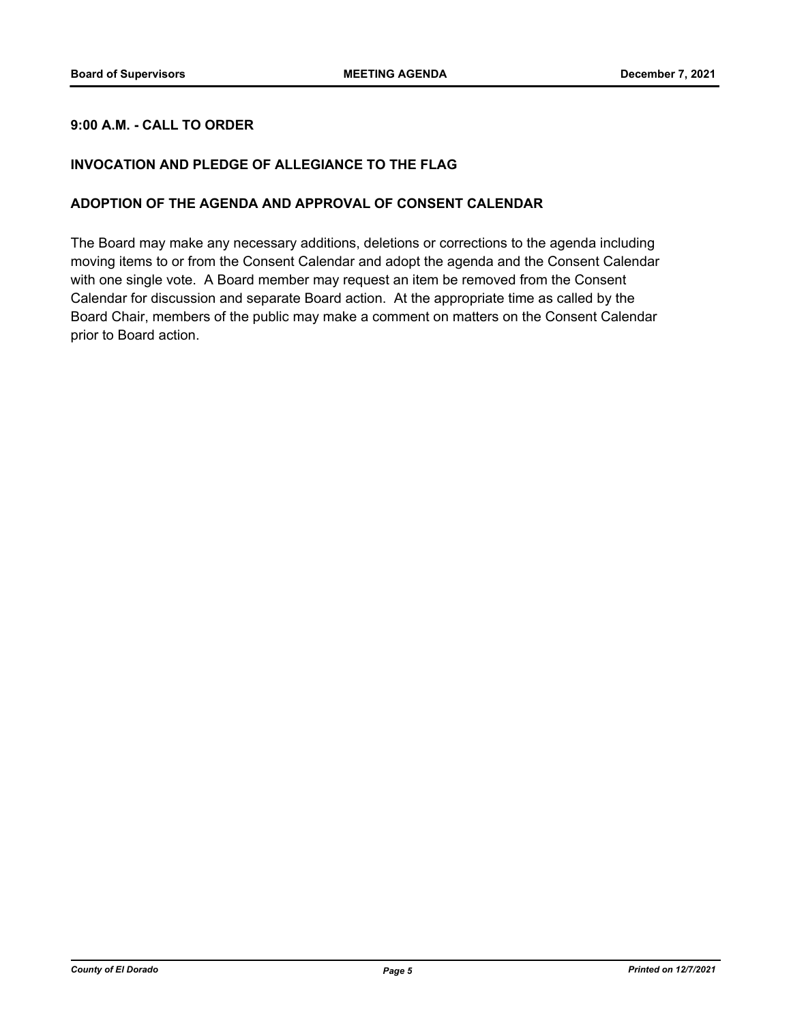## **9:00 A.M. - CALL TO ORDER**

### **INVOCATION AND PLEDGE OF ALLEGIANCE TO THE FLAG**

#### **ADOPTION OF THE AGENDA AND APPROVAL OF CONSENT CALENDAR**

The Board may make any necessary additions, deletions or corrections to the agenda including moving items to or from the Consent Calendar and adopt the agenda and the Consent Calendar with one single vote. A Board member may request an item be removed from the Consent Calendar for discussion and separate Board action. At the appropriate time as called by the Board Chair, members of the public may make a comment on matters on the Consent Calendar prior to Board action.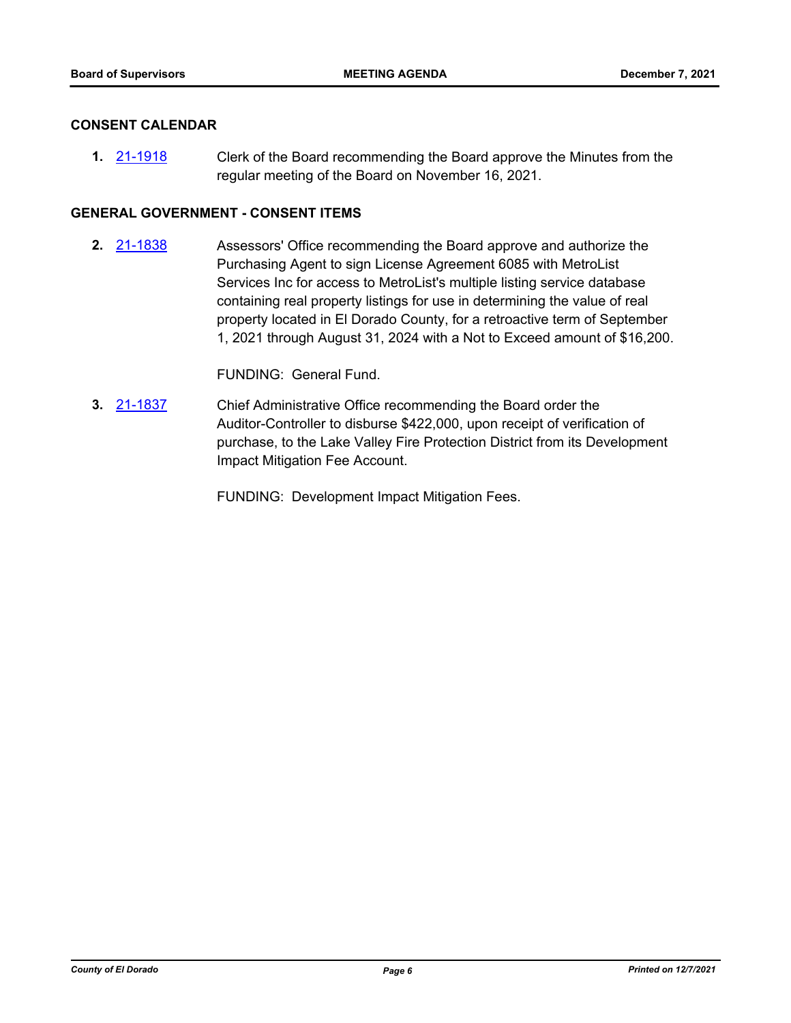#### **CONSENT CALENDAR**

Clerk of the Board recommending the Board approve the Minutes from the regular meeting of the Board on November 16, 2021. **1.** [21-1918](http://eldorado.legistar.com/gateway.aspx?m=l&id=/matter.aspx?key=30814)

#### **GENERAL GOVERNMENT - CONSENT ITEMS**

Assessors' Office recommending the Board approve and authorize the Purchasing Agent to sign License Agreement 6085 with MetroList Services Inc for access to MetroList's multiple listing service database containing real property listings for use in determining the value of real property located in El Dorado County, for a retroactive term of September 1, 2021 through August 31, 2024 with a Not to Exceed amount of \$16,200. **2.** [21-1838](http://eldorado.legistar.com/gateway.aspx?m=l&id=/matter.aspx?key=30734)

FUNDING: General Fund.

Chief Administrative Office recommending the Board order the Auditor-Controller to disburse \$422,000, upon receipt of verification of purchase, to the Lake Valley Fire Protection District from its Development Impact Mitigation Fee Account. **3.** [21-1837](http://eldorado.legistar.com/gateway.aspx?m=l&id=/matter.aspx?key=30733)

FUNDING: Development Impact Mitigation Fees.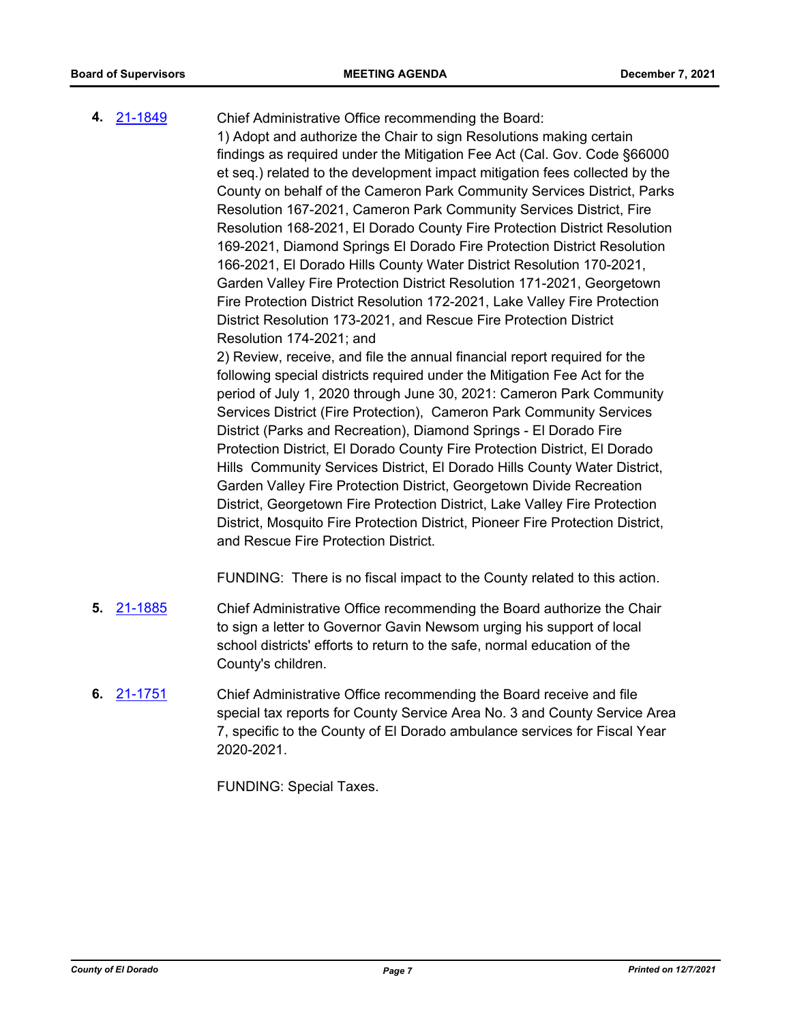- Chief Administrative Office recommending the Board: 1) Adopt and authorize the Chair to sign Resolutions making certain findings as required under the Mitigation Fee Act (Cal. Gov. Code §66000 et seq.) related to the development impact mitigation fees collected by the County on behalf of the Cameron Park Community Services District, Parks Resolution 167-2021, Cameron Park Community Services District, Fire Resolution 168-2021, El Dorado County Fire Protection District Resolution 169-2021, Diamond Springs El Dorado Fire Protection District Resolution 166-2021, El Dorado Hills County Water District Resolution 170-2021, Garden Valley Fire Protection District Resolution 171-2021, Georgetown Fire Protection District Resolution 172-2021, Lake Valley Fire Protection District Resolution 173-2021, and Rescue Fire Protection District Resolution 174-2021; and 2) Review, receive, and file the annual financial report required for the following special districts required under the Mitigation Fee Act for the period of July 1, 2020 through June 30, 2021: Cameron Park Community Services District (Fire Protection), Cameron Park Community Services District (Parks and Recreation), Diamond Springs - El Dorado Fire Protection District, El Dorado County Fire Protection District, El Dorado Hills Community Services District, El Dorado Hills County Water District, Garden Valley Fire Protection District, Georgetown Divide Recreation District, Georgetown Fire Protection District, Lake Valley Fire Protection District, Mosquito Fire Protection District, Pioneer Fire Protection District, and Rescue Fire Protection District. FUNDING: There is no fiscal impact to the County related to this action. **4.** [21-1849](http://eldorado.legistar.com/gateway.aspx?m=l&id=/matter.aspx?key=30745)
- Chief Administrative Office recommending the Board authorize the Chair to sign a letter to Governor Gavin Newsom urging his support of local school districts' efforts to return to the safe, normal education of the County's children. **5.** [21-1885](http://eldorado.legistar.com/gateway.aspx?m=l&id=/matter.aspx?key=30781)
- Chief Administrative Office recommending the Board receive and file special tax reports for County Service Area No. 3 and County Service Area 7, specific to the County of El Dorado ambulance services for Fiscal Year 2020-2021. **6.** [21-1751](http://eldorado.legistar.com/gateway.aspx?m=l&id=/matter.aspx?key=30647)

FUNDING: Special Taxes.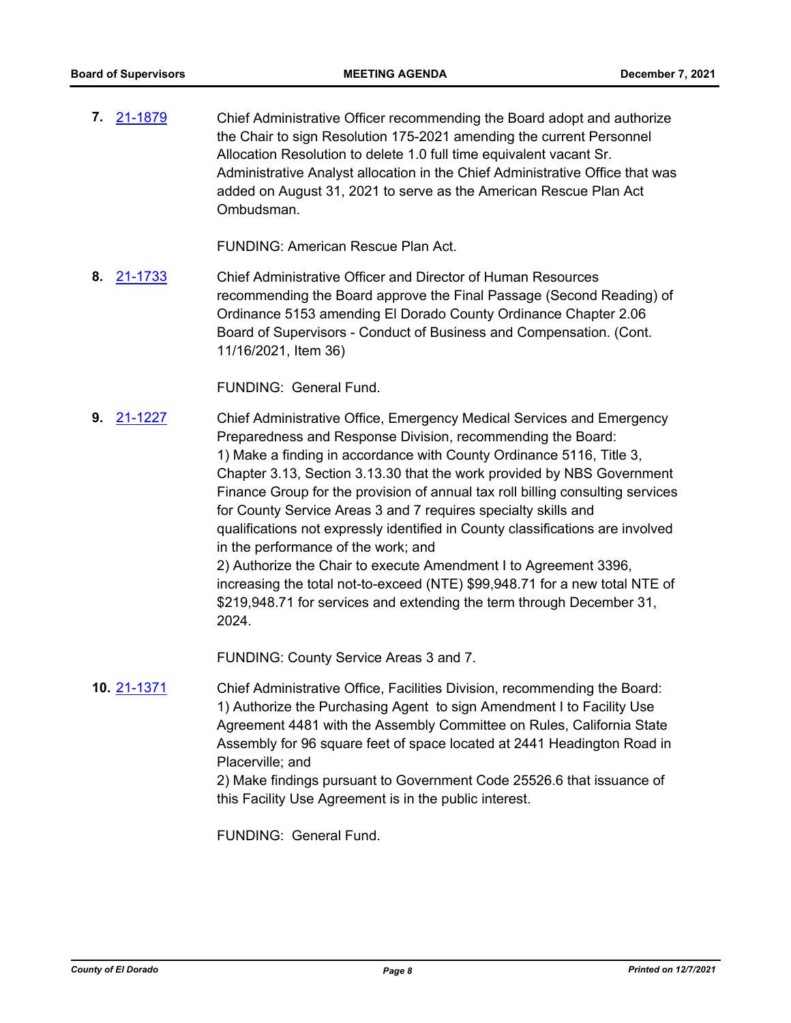Chief Administrative Officer recommending the Board adopt and authorize the Chair to sign Resolution 175-2021 amending the current Personnel Allocation Resolution to delete 1.0 full time equivalent vacant Sr. Administrative Analyst allocation in the Chief Administrative Office that was added on August 31, 2021 to serve as the American Rescue Plan Act Ombudsman. **7.** [21-1879](http://eldorado.legistar.com/gateway.aspx?m=l&id=/matter.aspx?key=30775)

FUNDING: American Rescue Plan Act.

Chief Administrative Officer and Director of Human Resources recommending the Board approve the Final Passage (Second Reading) of Ordinance 5153 amending El Dorado County Ordinance Chapter 2.06 Board of Supervisors - Conduct of Business and Compensation. (Cont. 11/16/2021, Item 36) **8.** [21-1733](http://eldorado.legistar.com/gateway.aspx?m=l&id=/matter.aspx?key=30628)

FUNDING: General Fund.

Chief Administrative Office, Emergency Medical Services and Emergency Preparedness and Response Division, recommending the Board: 1) Make a finding in accordance with County Ordinance 5116, Title 3, Chapter 3.13, Section 3.13.30 that the work provided by NBS Government Finance Group for the provision of annual tax roll billing consulting services for County Service Areas 3 and 7 requires specialty skills and qualifications not expressly identified in County classifications are involved in the performance of the work; and 2) Authorize the Chair to execute Amendment I to Agreement 3396, increasing the total not-to-exceed (NTE) \$99,948.71 for a new total NTE of \$219,948.71 for services and extending the term through December 31, 2024. **9.** [21-1227](http://eldorado.legistar.com/gateway.aspx?m=l&id=/matter.aspx?key=30122)

FUNDING: County Service Areas 3 and 7.

Chief Administrative Office, Facilities Division, recommending the Board: 1) Authorize the Purchasing Agent to sign Amendment I to Facility Use Agreement 4481 with the Assembly Committee on Rules, California State Assembly for 96 square feet of space located at 2441 Headington Road in Placerville; and **10.** [21-1371](http://eldorado.legistar.com/gateway.aspx?m=l&id=/matter.aspx?key=30266)

2) Make findings pursuant to Government Code 25526.6 that issuance of this Facility Use Agreement is in the public interest.

FUNDING: General Fund.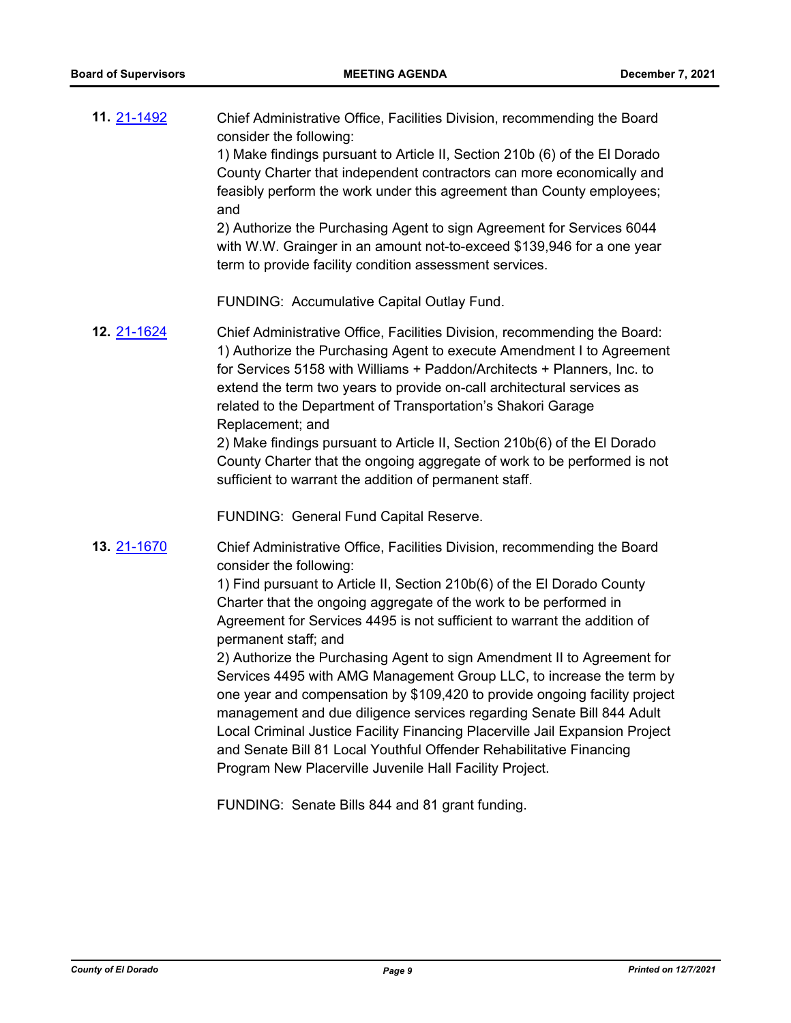| 11. 21-1492        | Chief Administrative Office, Facilities Division, recommending the Board<br>consider the following:                                                                                                                                                                                                                                                                                                                                                                                                                      |
|--------------------|--------------------------------------------------------------------------------------------------------------------------------------------------------------------------------------------------------------------------------------------------------------------------------------------------------------------------------------------------------------------------------------------------------------------------------------------------------------------------------------------------------------------------|
|                    | 1) Make findings pursuant to Article II, Section 210b (6) of the El Dorado<br>County Charter that independent contractors can more economically and<br>feasibly perform the work under this agreement than County employees;<br>and                                                                                                                                                                                                                                                                                      |
|                    | 2) Authorize the Purchasing Agent to sign Agreement for Services 6044<br>with W.W. Grainger in an amount not-to-exceed \$139,946 for a one year<br>term to provide facility condition assessment services.                                                                                                                                                                                                                                                                                                               |
|                    | FUNDING: Accumulative Capital Outlay Fund.                                                                                                                                                                                                                                                                                                                                                                                                                                                                               |
| <b>12. 21-1624</b> | Chief Administrative Office, Facilities Division, recommending the Board:<br>1) Authorize the Purchasing Agent to execute Amendment I to Agreement<br>for Services 5158 with Williams + Paddon/Architects + Planners, Inc. to<br>extend the term two years to provide on-call architectural services as<br>related to the Department of Transportation's Shakori Garage<br>Replacement; and                                                                                                                              |
|                    | 2) Make findings pursuant to Article II, Section 210b(6) of the El Dorado<br>County Charter that the ongoing aggregate of work to be performed is not<br>sufficient to warrant the addition of permanent staff.                                                                                                                                                                                                                                                                                                          |
|                    | FUNDING: General Fund Capital Reserve.                                                                                                                                                                                                                                                                                                                                                                                                                                                                                   |
| <b>13. 21-1670</b> | Chief Administrative Office, Facilities Division, recommending the Board<br>consider the following:                                                                                                                                                                                                                                                                                                                                                                                                                      |
|                    | 1) Find pursuant to Article II, Section 210b(6) of the El Dorado County<br>Charter that the ongoing aggregate of the work to be performed in<br>Agreement for Services 4495 is not sufficient to warrant the addition of<br>permanent staff; and                                                                                                                                                                                                                                                                         |
|                    | 2) Authorize the Purchasing Agent to sign Amendment II to Agreement for<br>Services 4495 with AMG Management Group LLC, to increase the term by<br>one year and compensation by \$109,420 to provide ongoing facility project<br>management and due diligence services regarding Senate Bill 844 Adult<br>Local Criminal Justice Facility Financing Placerville Jail Expansion Project<br>and Senate Bill 81 Local Youthful Offender Rehabilitative Financing<br>Program New Placerville Juvenile Hall Facility Project. |
|                    | FUNDING: Senate Bills 844 and 81 grant funding.                                                                                                                                                                                                                                                                                                                                                                                                                                                                          |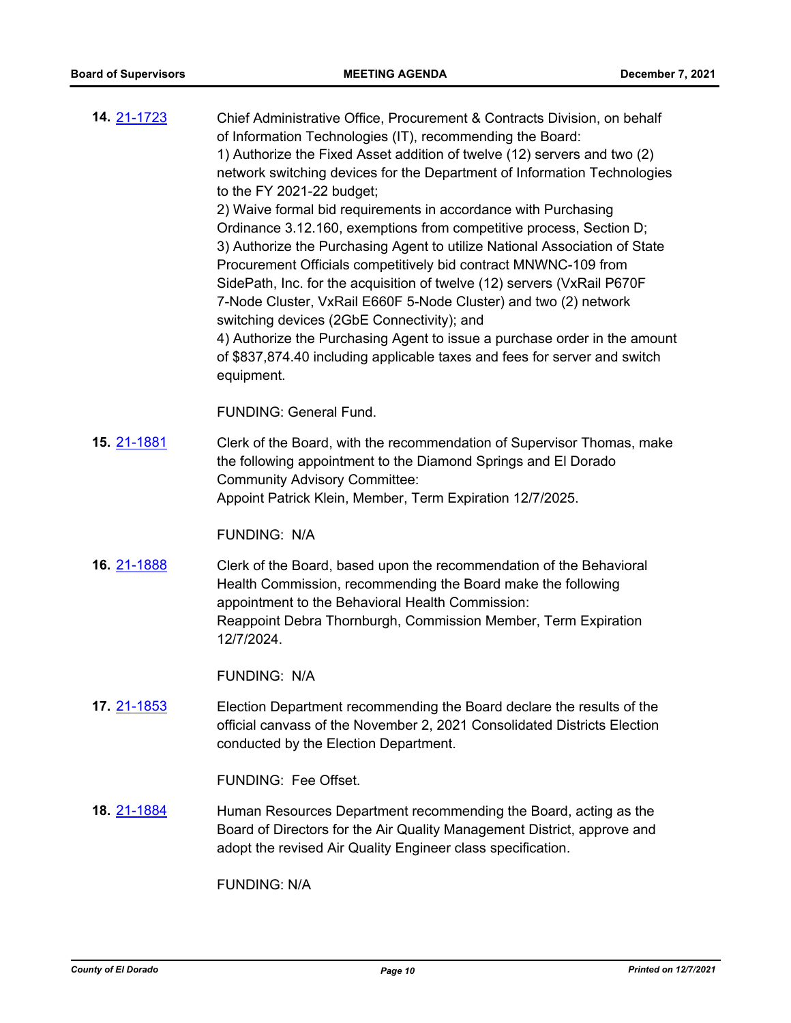| 14. 21-1723         | Chief Administrative Office, Procurement & Contracts Division, on behalf<br>of Information Technologies (IT), recommending the Board:<br>1) Authorize the Fixed Asset addition of twelve (12) servers and two (2)<br>network switching devices for the Department of Information Technologies<br>to the FY 2021-22 budget;<br>2) Waive formal bid requirements in accordance with Purchasing<br>Ordinance 3.12.160, exemptions from competitive process, Section D;<br>3) Authorize the Purchasing Agent to utilize National Association of State<br>Procurement Officials competitively bid contract MNWNC-109 from<br>SidePath, Inc. for the acquisition of twelve (12) servers (VxRail P670F<br>7-Node Cluster, VxRail E660F 5-Node Cluster) and two (2) network<br>switching devices (2GbE Connectivity); and<br>4) Authorize the Purchasing Agent to issue a purchase order in the amount<br>of \$837,874.40 including applicable taxes and fees for server and switch<br>equipment. |
|---------------------|-------------------------------------------------------------------------------------------------------------------------------------------------------------------------------------------------------------------------------------------------------------------------------------------------------------------------------------------------------------------------------------------------------------------------------------------------------------------------------------------------------------------------------------------------------------------------------------------------------------------------------------------------------------------------------------------------------------------------------------------------------------------------------------------------------------------------------------------------------------------------------------------------------------------------------------------------------------------------------------------|
|                     | <b>FUNDING: General Fund.</b>                                                                                                                                                                                                                                                                                                                                                                                                                                                                                                                                                                                                                                                                                                                                                                                                                                                                                                                                                             |
| 15. 21-1881         | Clerk of the Board, with the recommendation of Supervisor Thomas, make<br>the following appointment to the Diamond Springs and El Dorado<br><b>Community Advisory Committee:</b><br>Appoint Patrick Klein, Member, Term Expiration 12/7/2025.                                                                                                                                                                                                                                                                                                                                                                                                                                                                                                                                                                                                                                                                                                                                             |
|                     | <b>FUNDING: N/A</b>                                                                                                                                                                                                                                                                                                                                                                                                                                                                                                                                                                                                                                                                                                                                                                                                                                                                                                                                                                       |
| 16. 21-1888         | Clerk of the Board, based upon the recommendation of the Behavioral<br>Health Commission, recommending the Board make the following<br>appointment to the Behavioral Health Commission:<br>Reappoint Debra Thornburgh, Commission Member, Term Expiration<br>12/7/2024.                                                                                                                                                                                                                                                                                                                                                                                                                                                                                                                                                                                                                                                                                                                   |
|                     | <b>FUNDING: N/A</b>                                                                                                                                                                                                                                                                                                                                                                                                                                                                                                                                                                                                                                                                                                                                                                                                                                                                                                                                                                       |
| 17. 2 <u>1-1853</u> | Election Department recommending the Board declare the results of the<br>official canvass of the November 2, 2021 Consolidated Districts Election<br>conducted by the Election Department.                                                                                                                                                                                                                                                                                                                                                                                                                                                                                                                                                                                                                                                                                                                                                                                                |
|                     | FUNDING: Fee Offset.                                                                                                                                                                                                                                                                                                                                                                                                                                                                                                                                                                                                                                                                                                                                                                                                                                                                                                                                                                      |
| 18. 21-1884         | Human Resources Department recommending the Board, acting as the<br>Board of Directors for the Air Quality Management District, approve and<br>adopt the revised Air Quality Engineer class specification.                                                                                                                                                                                                                                                                                                                                                                                                                                                                                                                                                                                                                                                                                                                                                                                |
|                     | <b>FUNDING: N/A</b>                                                                                                                                                                                                                                                                                                                                                                                                                                                                                                                                                                                                                                                                                                                                                                                                                                                                                                                                                                       |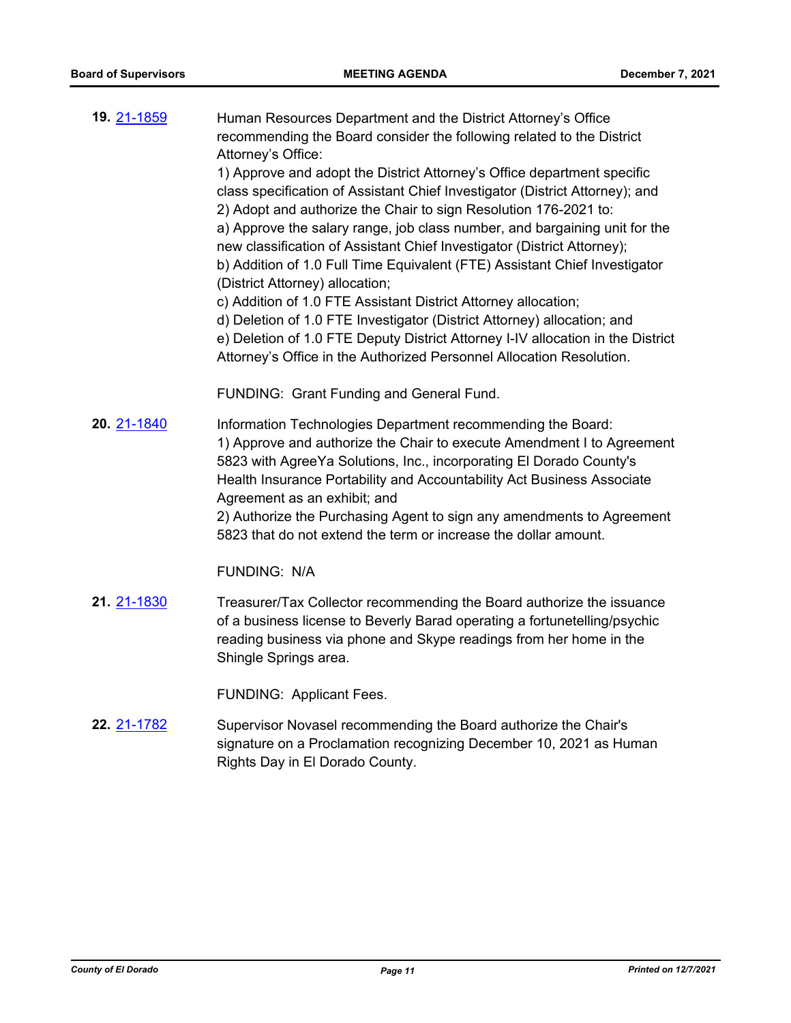| 19. 21-1859 | Human Resources Department and the District Attorney's Office<br>recommending the Board consider the following related to the District<br>Attorney's Office:<br>1) Approve and adopt the District Attorney's Office department specific<br>class specification of Assistant Chief Investigator (District Attorney); and<br>2) Adopt and authorize the Chair to sign Resolution 176-2021 to:<br>a) Approve the salary range, job class number, and bargaining unit for the<br>new classification of Assistant Chief Investigator (District Attorney);<br>b) Addition of 1.0 Full Time Equivalent (FTE) Assistant Chief Investigator<br>(District Attorney) allocation;<br>c) Addition of 1.0 FTE Assistant District Attorney allocation;<br>d) Deletion of 1.0 FTE Investigator (District Attorney) allocation; and<br>e) Deletion of 1.0 FTE Deputy District Attorney I-IV allocation in the District<br>Attorney's Office in the Authorized Personnel Allocation Resolution. |
|-------------|-------------------------------------------------------------------------------------------------------------------------------------------------------------------------------------------------------------------------------------------------------------------------------------------------------------------------------------------------------------------------------------------------------------------------------------------------------------------------------------------------------------------------------------------------------------------------------------------------------------------------------------------------------------------------------------------------------------------------------------------------------------------------------------------------------------------------------------------------------------------------------------------------------------------------------------------------------------------------------|
|             | FUNDING: Grant Funding and General Fund.                                                                                                                                                                                                                                                                                                                                                                                                                                                                                                                                                                                                                                                                                                                                                                                                                                                                                                                                      |
| 20. 21-1840 | Information Technologies Department recommending the Board:<br>1) Approve and authorize the Chair to execute Amendment I to Agreement<br>5823 with AgreeYa Solutions, Inc., incorporating El Dorado County's<br>Health Insurance Portability and Accountability Act Business Associate<br>Agreement as an exhibit; and<br>2) Authorize the Purchasing Agent to sign any amendments to Agreement<br>5823 that do not extend the term or increase the dollar amount.                                                                                                                                                                                                                                                                                                                                                                                                                                                                                                            |
|             | <b>FUNDING: N/A</b>                                                                                                                                                                                                                                                                                                                                                                                                                                                                                                                                                                                                                                                                                                                                                                                                                                                                                                                                                           |
| 21. 21-1830 | Treasurer/Tax Collector recommending the Board authorize the issuance<br>of a business license to Beverly Barad operating a fortunetelling/psychic<br>reading business via phone and Skype readings from her home in the<br>Shingle Springs area.                                                                                                                                                                                                                                                                                                                                                                                                                                                                                                                                                                                                                                                                                                                             |
|             | FUNDING: Applicant Fees.                                                                                                                                                                                                                                                                                                                                                                                                                                                                                                                                                                                                                                                                                                                                                                                                                                                                                                                                                      |
| 22. 21-1782 | Supervisor Novasel recommending the Board authorize the Chair's<br>signature on a Proclamation recognizing December 10, 2021 as Human                                                                                                                                                                                                                                                                                                                                                                                                                                                                                                                                                                                                                                                                                                                                                                                                                                         |

Rights Day in El Dorado County.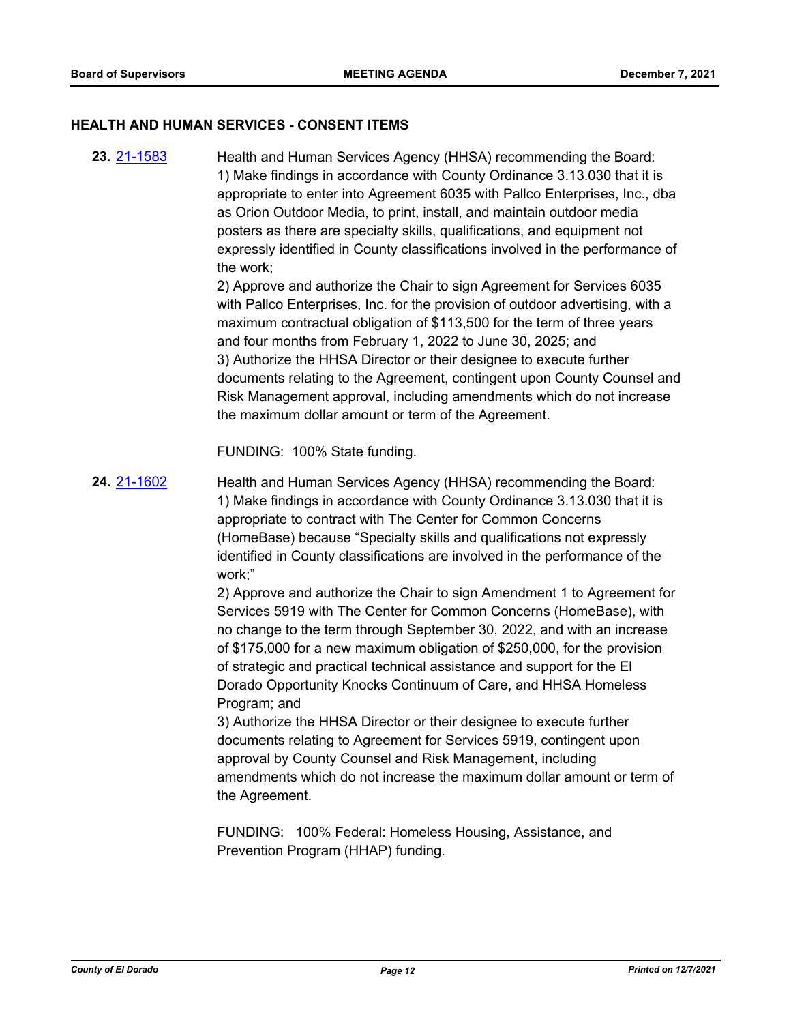#### **HEALTH AND HUMAN SERVICES - CONSENT ITEMS**

Health and Human Services Agency (HHSA) recommending the Board: 1) Make findings in accordance with County Ordinance 3.13.030 that it is appropriate to enter into Agreement 6035 with Pallco Enterprises, Inc., dba as Orion Outdoor Media, to print, install, and maintain outdoor media posters as there are specialty skills, qualifications, and equipment not expressly identified in County classifications involved in the performance of the work; 2) Approve and authorize the Chair to sign Agreement for Services 6035 with Pallco Enterprises, Inc. for the provision of outdoor advertising, with a maximum contractual obligation of \$113,500 for the term of three years and four months from February 1, 2022 to June 30, 2025; and 3) Authorize the HHSA Director or their designee to execute further documents relating to the Agreement, contingent upon County Counsel and Risk Management approval, including amendments which do not increase the maximum dollar amount or term of the Agreement. **23.** [21-1583](http://eldorado.legistar.com/gateway.aspx?m=l&id=/matter.aspx?key=30478)

FUNDING: 100% State funding.

Health and Human Services Agency (HHSA) recommending the Board: 1) Make findings in accordance with County Ordinance 3.13.030 that it is appropriate to contract with The Center for Common Concerns (HomeBase) because "Specialty skills and qualifications not expressly identified in County classifications are involved in the performance of the work;" **24.** [21-1602](http://eldorado.legistar.com/gateway.aspx?m=l&id=/matter.aspx?key=30497)

> 2) Approve and authorize the Chair to sign Amendment 1 to Agreement for Services 5919 with The Center for Common Concerns (HomeBase), with no change to the term through September 30, 2022, and with an increase of \$175,000 for a new maximum obligation of \$250,000, for the provision of strategic and practical technical assistance and support for the El Dorado Opportunity Knocks Continuum of Care, and HHSA Homeless Program; and

> 3) Authorize the HHSA Director or their designee to execute further documents relating to Agreement for Services 5919, contingent upon approval by County Counsel and Risk Management, including amendments which do not increase the maximum dollar amount or term of the Agreement.

FUNDING: 100% Federal: Homeless Housing, Assistance, and Prevention Program (HHAP) funding.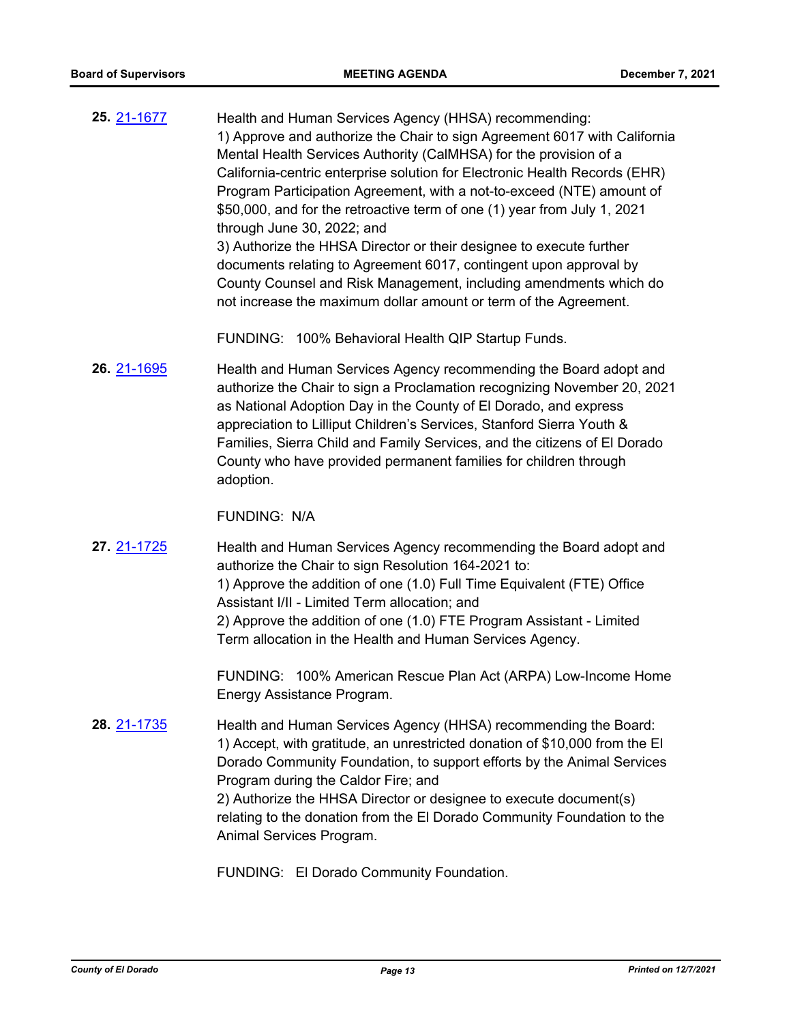Health and Human Services Agency (HHSA) recommending: 1) Approve and authorize the Chair to sign Agreement 6017 with California Mental Health Services Authority (CalMHSA) for the provision of a California-centric enterprise solution for Electronic Health Records (EHR) Program Participation Agreement, with a not-to-exceed (NTE) amount of \$50,000, and for the retroactive term of one (1) year from July 1, 2021 through June 30, 2022; and 3) Authorize the HHSA Director or their designee to execute further documents relating to Agreement 6017, contingent upon approval by County Counsel and Risk Management, including amendments which do not increase the maximum dollar amount or term of the Agreement. **25.** [21-1677](http://eldorado.legistar.com/gateway.aspx?m=l&id=/matter.aspx?key=30572)

FUNDING: 100% Behavioral Health QIP Startup Funds.

Health and Human Services Agency recommending the Board adopt and authorize the Chair to sign a Proclamation recognizing November 20, 2021 as National Adoption Day in the County of El Dorado, and express appreciation to Lilliput Children's Services, Stanford Sierra Youth & Families, Sierra Child and Family Services, and the citizens of El Dorado County who have provided permanent families for children through adoption. **26.** [21-1695](http://eldorado.legistar.com/gateway.aspx?m=l&id=/matter.aspx?key=30590)

FUNDING: N/A

Health and Human Services Agency recommending the Board adopt and authorize the Chair to sign Resolution 164-2021 to: 1) Approve the addition of one (1.0) Full Time Equivalent (FTE) Office Assistant I/II - Limited Term allocation; and 2) Approve the addition of one (1.0) FTE Program Assistant - Limited Term allocation in the Health and Human Services Agency. **27.** [21-1725](http://eldorado.legistar.com/gateway.aspx?m=l&id=/matter.aspx?key=30620)

> FUNDING: 100% American Rescue Plan Act (ARPA) Low-Income Home Energy Assistance Program.

Health and Human Services Agency (HHSA) recommending the Board: 1) Accept, with gratitude, an unrestricted donation of \$10,000 from the El Dorado Community Foundation, to support efforts by the Animal Services Program during the Caldor Fire; and 2) Authorize the HHSA Director or designee to execute document(s) relating to the donation from the El Dorado Community Foundation to the Animal Services Program. **28.** [21-1735](http://eldorado.legistar.com/gateway.aspx?m=l&id=/matter.aspx?key=30630)

FUNDING: El Dorado Community Foundation.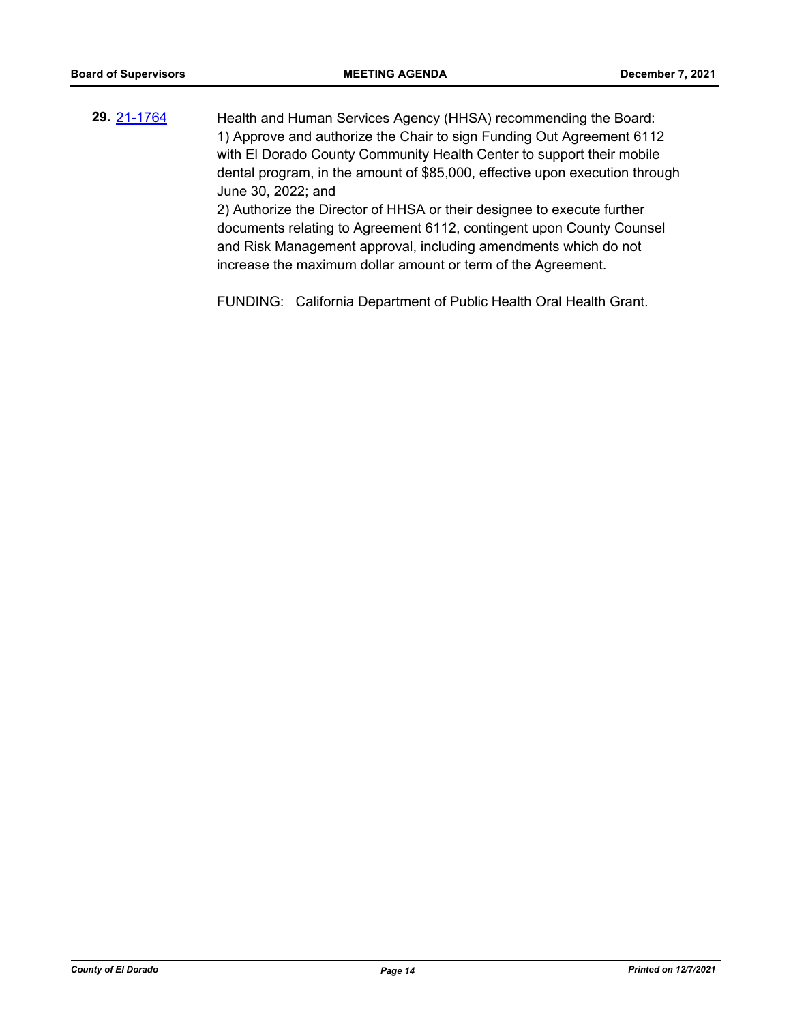Health and Human Services Agency (HHSA) recommending the Board: 1) Approve and authorize the Chair to sign Funding Out Agreement 6112 with El Dorado County Community Health Center to support their mobile dental program, in the amount of \$85,000, effective upon execution through June 30, 2022; and 2) Authorize the Director of HHSA or their designee to execute further documents relating to Agreement 6112, contingent upon County Counsel and Risk Management approval, including amendments which do not **29.** [21-1764](http://eldorado.legistar.com/gateway.aspx?m=l&id=/matter.aspx?key=30660)

FUNDING: California Department of Public Health Oral Health Grant.

increase the maximum dollar amount or term of the Agreement.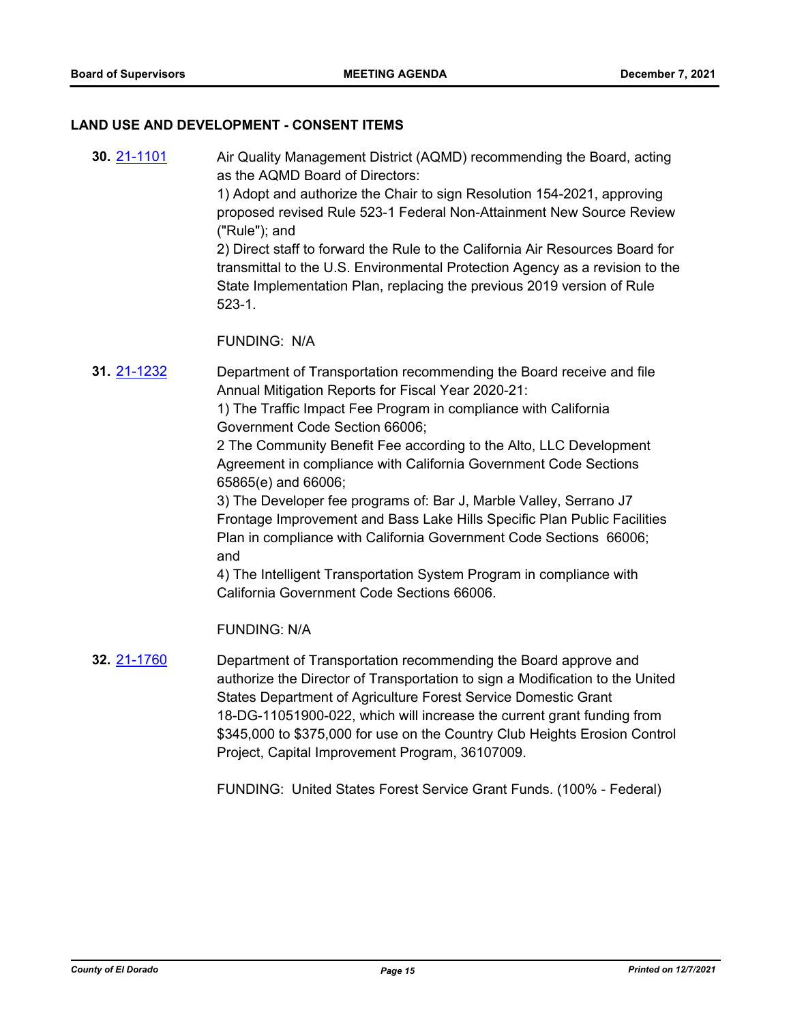#### **LAND USE AND DEVELOPMENT - CONSENT ITEMS**

- Air Quality Management District (AQMD) recommending the Board, acting as the AQMD Board of Directors: 1) Adopt and authorize the Chair to sign Resolution 154-2021, approving proposed revised Rule 523-1 Federal Non-Attainment New Source Review ("Rule"); and 2) Direct staff to forward the Rule to the California Air Resources Board for transmittal to the U.S. Environmental Protection Agency as a revision to the State Implementation Plan, replacing the previous 2019 version of Rule 523-1. FUNDING: N/A **30.** [21-1101](http://eldorado.legistar.com/gateway.aspx?m=l&id=/matter.aspx?key=29996) Department of Transportation recommending the Board receive and file Annual Mitigation Reports for Fiscal Year 2020-21: 1) The Traffic Impact Fee Program in compliance with California Government Code Section 66006; 2 The Community Benefit Fee according to the Alto, LLC Development Agreement in compliance with California Government Code Sections **31.** [21-1232](http://eldorado.legistar.com/gateway.aspx?m=l&id=/matter.aspx?key=30127)
	- 3) The Developer fee programs of: Bar J, Marble Valley, Serrano J7 Frontage Improvement and Bass Lake Hills Specific Plan Public Facilities Plan in compliance with California Government Code Sections 66006; and

4) The Intelligent Transportation System Program in compliance with California Government Code Sections 66006.

FUNDING: N/A

65865(e) and 66006;

Department of Transportation recommending the Board approve and authorize the Director of Transportation to sign a Modification to the United States Department of Agriculture Forest Service Domestic Grant 18-DG-11051900-022, which will increase the current grant funding from \$345,000 to \$375,000 for use on the Country Club Heights Erosion Control Project, Capital Improvement Program, 36107009. **32.** [21-1760](http://eldorado.legistar.com/gateway.aspx?m=l&id=/matter.aspx?key=30656)

FUNDING: United States Forest Service Grant Funds. (100% - Federal)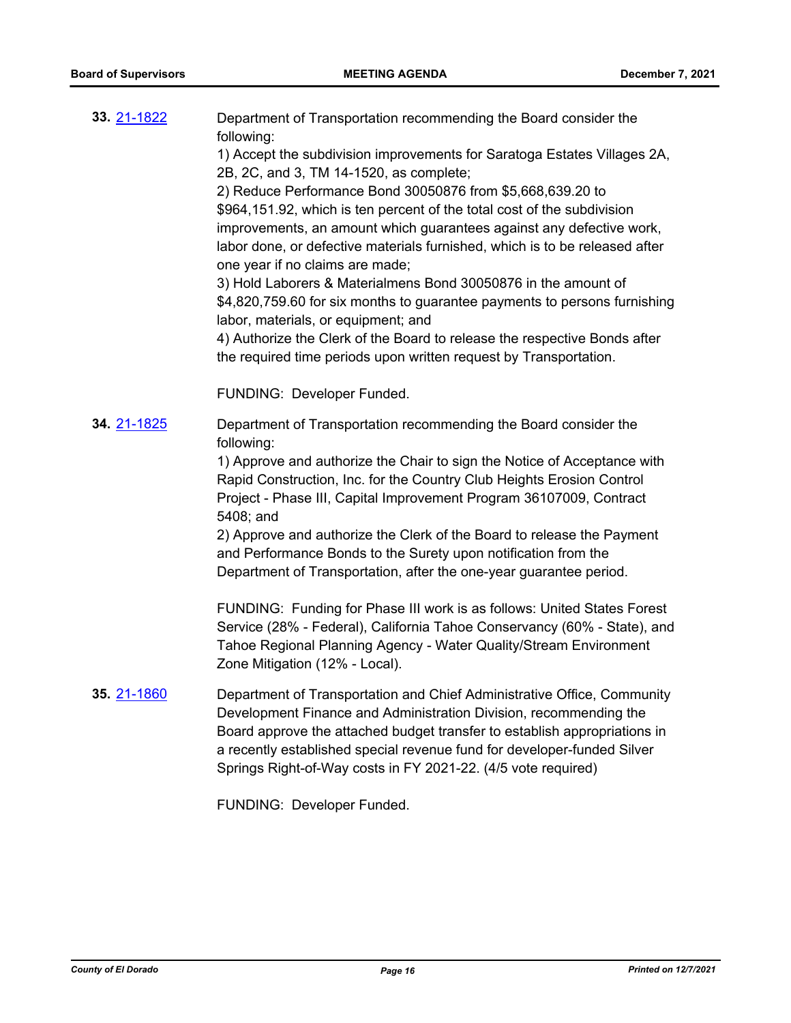| 33. 21-1822 | Department of Transportation recommending the Board consider the<br>following:<br>1) Accept the subdivision improvements for Saratoga Estates Villages 2A,<br>2B, 2C, and 3, TM 14-1520, as complete;<br>2) Reduce Performance Bond 30050876 from \$5,668,639.20 to<br>\$964,151.92, which is ten percent of the total cost of the subdivision<br>improvements, an amount which guarantees against any defective work,<br>labor done, or defective materials furnished, which is to be released after<br>one year if no claims are made;<br>3) Hold Laborers & Materialmens Bond 30050876 in the amount of<br>\$4,820,759.60 for six months to guarantee payments to persons furnishing<br>labor, materials, or equipment; and<br>4) Authorize the Clerk of the Board to release the respective Bonds after<br>the required time periods upon written request by Transportation. |
|-------------|----------------------------------------------------------------------------------------------------------------------------------------------------------------------------------------------------------------------------------------------------------------------------------------------------------------------------------------------------------------------------------------------------------------------------------------------------------------------------------------------------------------------------------------------------------------------------------------------------------------------------------------------------------------------------------------------------------------------------------------------------------------------------------------------------------------------------------------------------------------------------------|
|             | FUNDING: Developer Funded.                                                                                                                                                                                                                                                                                                                                                                                                                                                                                                                                                                                                                                                                                                                                                                                                                                                       |
| 34. 21-1825 | Department of Transportation recommending the Board consider the<br>following:<br>1) Approve and authorize the Chair to sign the Notice of Acceptance with<br>Rapid Construction, Inc. for the Country Club Heights Erosion Control<br>Project - Phase III, Capital Improvement Program 36107009, Contract<br>5408; and<br>2) Approve and authorize the Clerk of the Board to release the Payment<br>and Performance Bonds to the Surety upon notification from the<br>Department of Transportation, after the one-year guarantee period.                                                                                                                                                                                                                                                                                                                                        |
|             | FUNDING: Funding for Phase III work is as follows: United States Forest<br>Service (28% - Federal), California Tahoe Conservancy (60% - State), and<br>Tahoe Regional Planning Agency - Water Quality/Stream Environment<br>Zone Mitigation (12% - Local).                                                                                                                                                                                                                                                                                                                                                                                                                                                                                                                                                                                                                       |
| 35. 21-1860 | Department of Transportation and Chief Administrative Office, Community<br>Development Finance and Administration Division, recommending the<br>Board approve the attached budget transfer to establish appropriations in<br>a recently established special revenue fund for developer-funded Silver<br>Springs Right-of-Way costs in FY 2021-22. (4/5 vote required)                                                                                                                                                                                                                                                                                                                                                                                                                                                                                                            |

FUNDING: Developer Funded.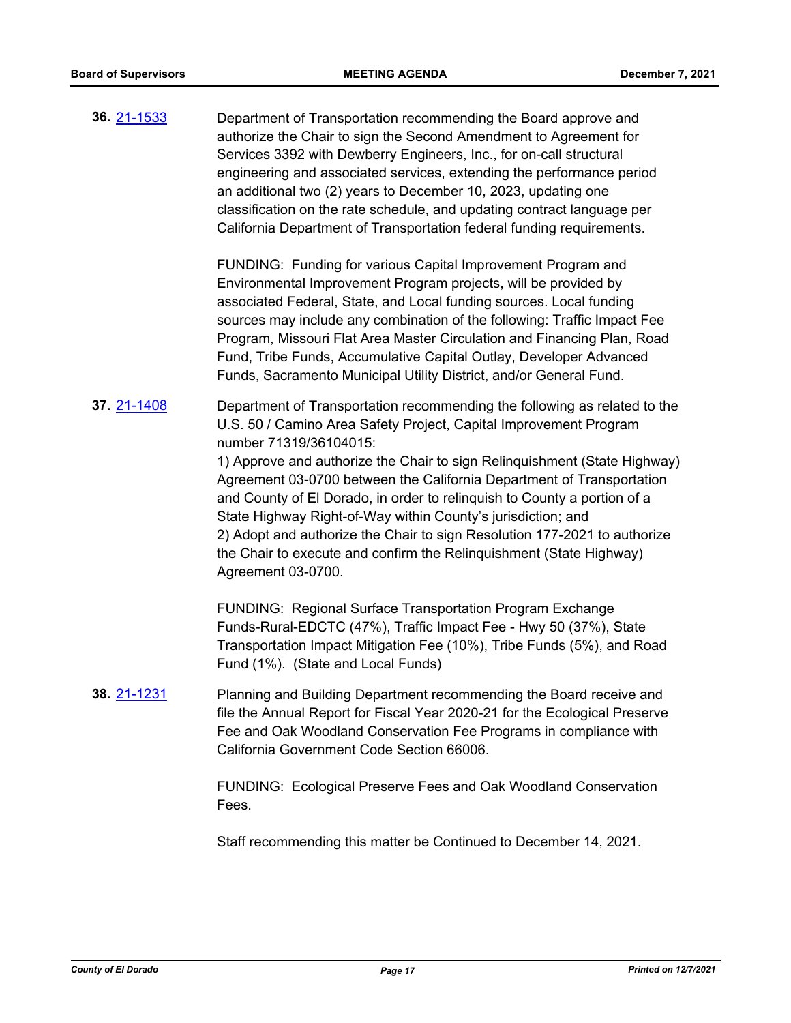Department of Transportation recommending the Board approve and authorize the Chair to sign the Second Amendment to Agreement for Services 3392 with Dewberry Engineers, Inc., for on-call structural engineering and associated services, extending the performance period an additional two (2) years to December 10, 2023, updating one classification on the rate schedule, and updating contract language per California Department of Transportation federal funding requirements. **36.** [21-1533](http://eldorado.legistar.com/gateway.aspx?m=l&id=/matter.aspx?key=30428)

> FUNDING: Funding for various Capital Improvement Program and Environmental Improvement Program projects, will be provided by associated Federal, State, and Local funding sources. Local funding sources may include any combination of the following: Traffic Impact Fee Program, Missouri Flat Area Master Circulation and Financing Plan, Road Fund, Tribe Funds, Accumulative Capital Outlay, Developer Advanced Funds, Sacramento Municipal Utility District, and/or General Fund.

Department of Transportation recommending the following as related to the U.S. 50 / Camino Area Safety Project, Capital Improvement Program number 71319/36104015: **37.** [21-1408](http://eldorado.legistar.com/gateway.aspx?m=l&id=/matter.aspx?key=30303)

> 1) Approve and authorize the Chair to sign Relinquishment (State Highway) Agreement 03-0700 between the California Department of Transportation and County of El Dorado, in order to relinquish to County a portion of a State Highway Right-of-Way within County's jurisdiction; and 2) Adopt and authorize the Chair to sign Resolution 177-2021 to authorize the Chair to execute and confirm the Relinquishment (State Highway) Agreement 03-0700.

FUNDING: Regional Surface Transportation Program Exchange Funds-Rural-EDCTC (47%), Traffic Impact Fee - Hwy 50 (37%), State Transportation Impact Mitigation Fee (10%), Tribe Funds (5%), and Road Fund (1%). (State and Local Funds)

Planning and Building Department recommending the Board receive and file the Annual Report for Fiscal Year 2020-21 for the Ecological Preserve Fee and Oak Woodland Conservation Fee Programs in compliance with California Government Code Section 66006. **38.** [21-1231](http://eldorado.legistar.com/gateway.aspx?m=l&id=/matter.aspx?key=30126)

> FUNDING: Ecological Preserve Fees and Oak Woodland Conservation Fees.

Staff recommending this matter be Continued to December 14, 2021.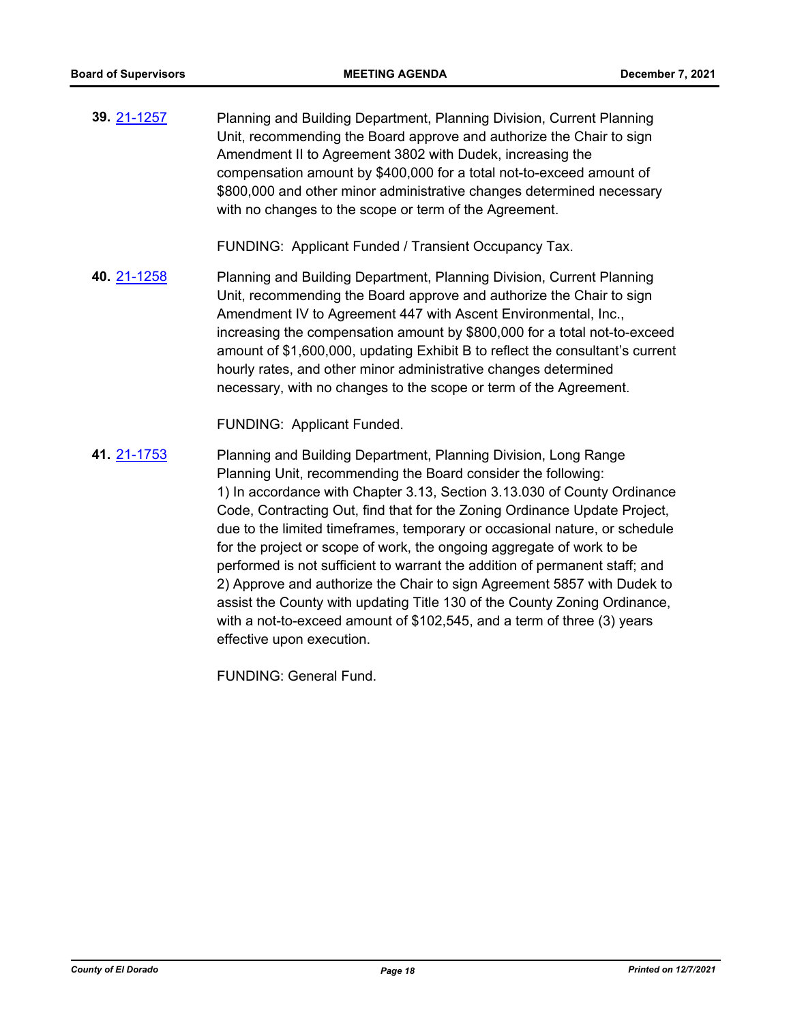Planning and Building Department, Planning Division, Current Planning Unit, recommending the Board approve and authorize the Chair to sign Amendment II to Agreement 3802 with Dudek, increasing the compensation amount by \$400,000 for a total not-to-exceed amount of \$800,000 and other minor administrative changes determined necessary with no changes to the scope or term of the Agreement. **39.** [21-1257](http://eldorado.legistar.com/gateway.aspx?m=l&id=/matter.aspx?key=30152)

FUNDING: Applicant Funded / Transient Occupancy Tax.

Planning and Building Department, Planning Division, Current Planning Unit, recommending the Board approve and authorize the Chair to sign Amendment IV to Agreement 447 with Ascent Environmental, Inc., increasing the compensation amount by \$800,000 for a total not-to-exceed amount of \$1,600,000, updating Exhibit B to reflect the consultant's current hourly rates, and other minor administrative changes determined necessary, with no changes to the scope or term of the Agreement. **40.** [21-1258](http://eldorado.legistar.com/gateway.aspx?m=l&id=/matter.aspx?key=30153)

FUNDING: Applicant Funded.

Planning and Building Department, Planning Division, Long Range Planning Unit, recommending the Board consider the following: 1) In accordance with Chapter 3.13, Section 3.13.030 of County Ordinance Code, Contracting Out, find that for the Zoning Ordinance Update Project, due to the limited timeframes, temporary or occasional nature, or schedule for the project or scope of work, the ongoing aggregate of work to be performed is not sufficient to warrant the addition of permanent staff; and 2) Approve and authorize the Chair to sign Agreement 5857 with Dudek to assist the County with updating Title 130 of the County Zoning Ordinance, with a not-to-exceed amount of \$102,545, and a term of three (3) years effective upon execution. **41.** [21-1753](http://eldorado.legistar.com/gateway.aspx?m=l&id=/matter.aspx?key=30649)

FUNDING: General Fund.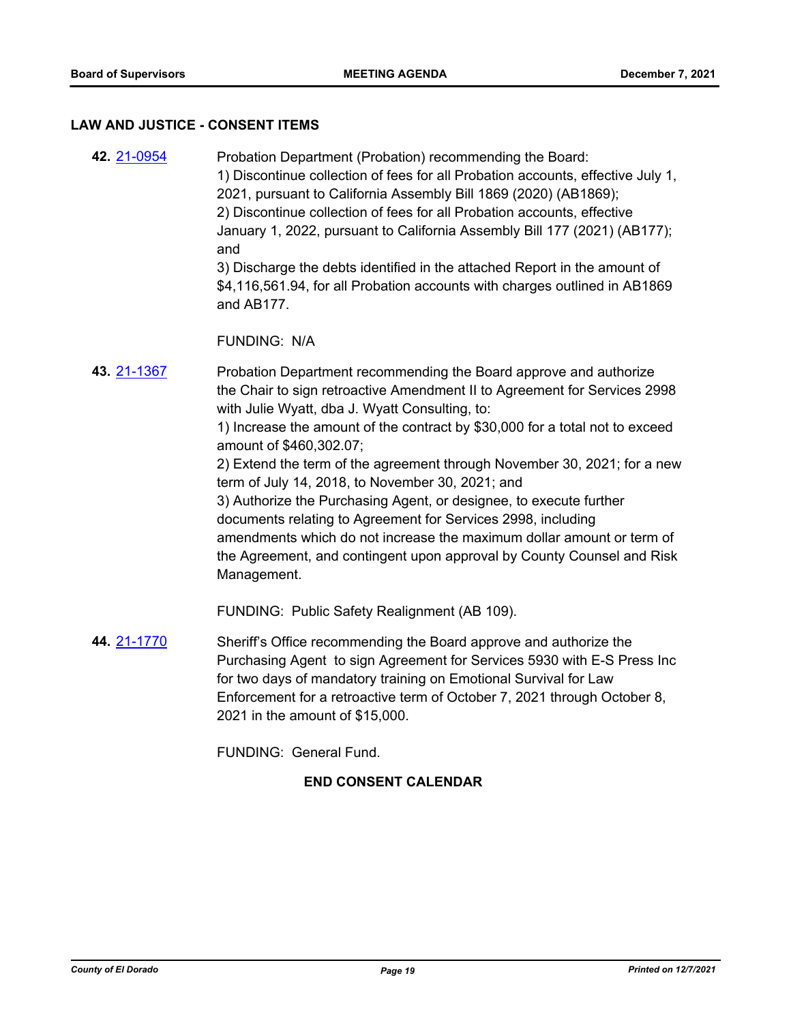#### **LAW AND JUSTICE - CONSENT ITEMS**

- Probation Department (Probation) recommending the Board: 1) Discontinue collection of fees for all Probation accounts, effective July 1, 2021, pursuant to California Assembly Bill 1869 (2020) (AB1869); 2) Discontinue collection of fees for all Probation accounts, effective January 1, 2022, pursuant to California Assembly Bill 177 (2021) (AB177); and 3) Discharge the debts identified in the attached Report in the amount of \$4,116,561.94, for all Probation accounts with charges outlined in AB1869 and AB177. FUNDING: N/A **42.** [21-0954](http://eldorado.legistar.com/gateway.aspx?m=l&id=/matter.aspx?key=29848) Probation Department recommending the Board approve and authorize **43.** [21-1367](http://eldorado.legistar.com/gateway.aspx?m=l&id=/matter.aspx?key=30262)
	- the Chair to sign retroactive Amendment II to Agreement for Services 2998 with Julie Wyatt, dba J. Wyatt Consulting, to: 1) Increase the amount of the contract by \$30,000 for a total not to exceed amount of \$460,302.07;

2) Extend the term of the agreement through November 30, 2021; for a new term of July 14, 2018, to November 30, 2021; and

3) Authorize the Purchasing Agent, or designee, to execute further documents relating to Agreement for Services 2998, including amendments which do not increase the maximum dollar amount or term of the Agreement, and contingent upon approval by County Counsel and Risk Management.

FUNDING: Public Safety Realignment (AB 109).

Sheriff's Office recommending the Board approve and authorize the Purchasing Agent to sign Agreement for Services 5930 with E-S Press Inc for two days of mandatory training on Emotional Survival for Law Enforcement for a retroactive term of October 7, 2021 through October 8, 2021 in the amount of \$15,000. **44.** [21-1770](http://eldorado.legistar.com/gateway.aspx?m=l&id=/matter.aspx?key=30666)

FUNDING: General Fund.

### **END CONSENT CALENDAR**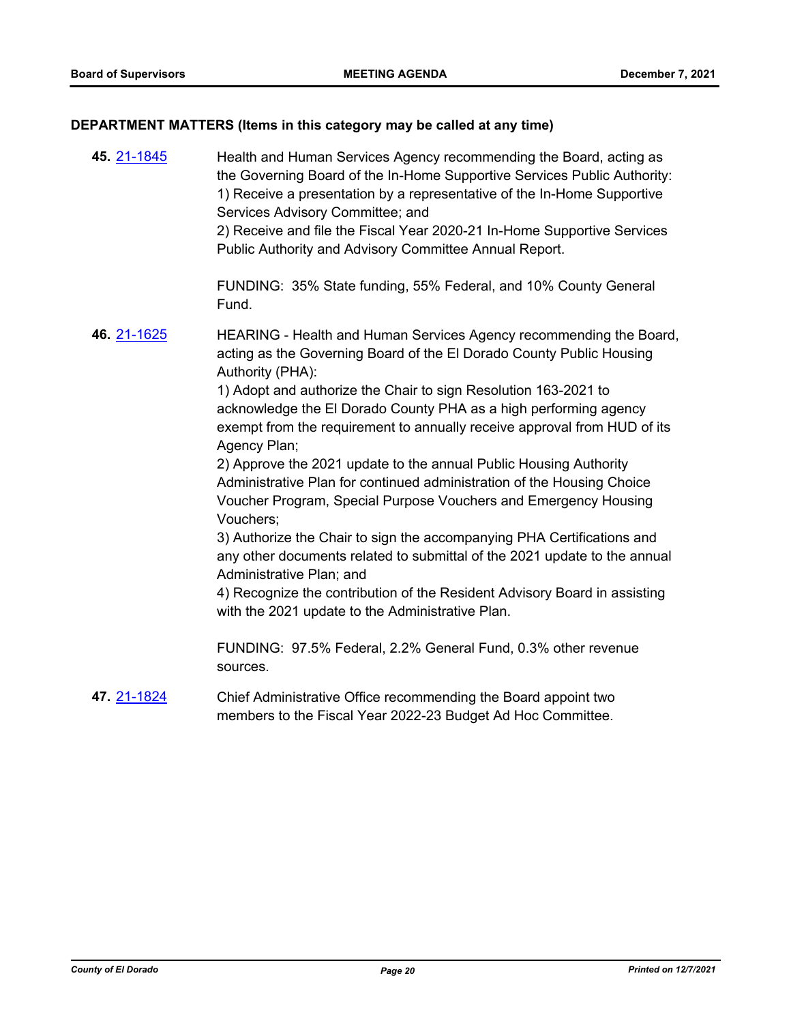# **DEPARTMENT MATTERS (Items in this category may be called at any time)**

| 45. 21-1845 | Health and Human Services Agency recommending the Board, acting as<br>the Governing Board of the In-Home Supportive Services Public Authority:<br>1) Receive a presentation by a representative of the In-Home Supportive<br>Services Advisory Committee; and<br>2) Receive and file the Fiscal Year 2020-21 In-Home Supportive Services<br>Public Authority and Advisory Committee Annual Report. |
|-------------|----------------------------------------------------------------------------------------------------------------------------------------------------------------------------------------------------------------------------------------------------------------------------------------------------------------------------------------------------------------------------------------------------|
|             | FUNDING: 35% State funding, 55% Federal, and 10% County General<br>Fund.                                                                                                                                                                                                                                                                                                                           |
| 46. 21-1625 | HEARING - Health and Human Services Agency recommending the Board,<br>acting as the Governing Board of the El Dorado County Public Housing<br>Authority (PHA):                                                                                                                                                                                                                                     |
|             | 1) Adopt and authorize the Chair to sign Resolution 163-2021 to<br>acknowledge the El Dorado County PHA as a high performing agency<br>exempt from the requirement to annually receive approval from HUD of its<br>Agency Plan;                                                                                                                                                                    |
|             | 2) Approve the 2021 update to the annual Public Housing Authority                                                                                                                                                                                                                                                                                                                                  |
|             | Administrative Plan for continued administration of the Housing Choice<br>Voucher Program, Special Purpose Vouchers and Emergency Housing<br>Vouchers;                                                                                                                                                                                                                                             |
|             | 3) Authorize the Chair to sign the accompanying PHA Certifications and<br>any other documents related to submittal of the 2021 update to the annual<br>Administrative Plan; and                                                                                                                                                                                                                    |
|             | 4) Recognize the contribution of the Resident Advisory Board in assisting<br>with the 2021 update to the Administrative Plan.                                                                                                                                                                                                                                                                      |
|             | FUNDING: 97.5% Federal, 2.2% General Fund, 0.3% other revenue<br>sources.                                                                                                                                                                                                                                                                                                                          |
| 47. 21-1824 | Chief Administrative Office recommending the Board appoint two<br>members to the Fiscal Year 2022-23 Budget Ad Hoc Committee.                                                                                                                                                                                                                                                                      |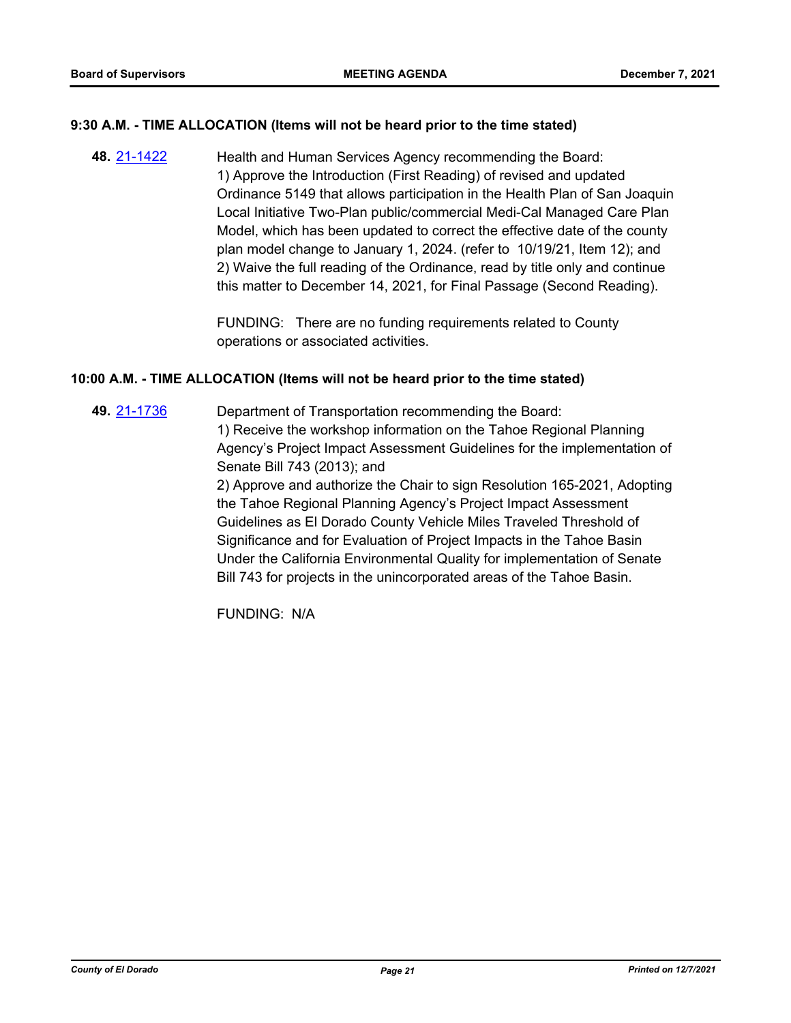## **9:30 A.M. - TIME ALLOCATION (Items will not be heard prior to the time stated)**

Health and Human Services Agency recommending the Board: 1) Approve the Introduction (First Reading) of revised and updated Ordinance 5149 that allows participation in the Health Plan of San Joaquin Local Initiative Two-Plan public/commercial Medi-Cal Managed Care Plan Model, which has been updated to correct the effective date of the county plan model change to January 1, 2024. (refer to 10/19/21, Item 12); and 2) Waive the full reading of the Ordinance, read by title only and continue this matter to December 14, 2021, for Final Passage (Second Reading). **48.** [21-1422](http://eldorado.legistar.com/gateway.aspx?m=l&id=/matter.aspx?key=30317)

> FUNDING: There are no funding requirements related to County operations or associated activities.

### **10:00 A.M. - TIME ALLOCATION (Items will not be heard prior to the time stated)**

Department of Transportation recommending the Board: 1) Receive the workshop information on the Tahoe Regional Planning Agency's Project Impact Assessment Guidelines for the implementation of Senate Bill 743 (2013); and 2) Approve and authorize the Chair to sign Resolution 165-2021, Adopting **49.** [21-1736](http://eldorado.legistar.com/gateway.aspx?m=l&id=/matter.aspx?key=30631)

the Tahoe Regional Planning Agency's Project Impact Assessment Guidelines as El Dorado County Vehicle Miles Traveled Threshold of Significance and for Evaluation of Project Impacts in the Tahoe Basin Under the California Environmental Quality for implementation of Senate Bill 743 for projects in the unincorporated areas of the Tahoe Basin.

FUNDING: N/A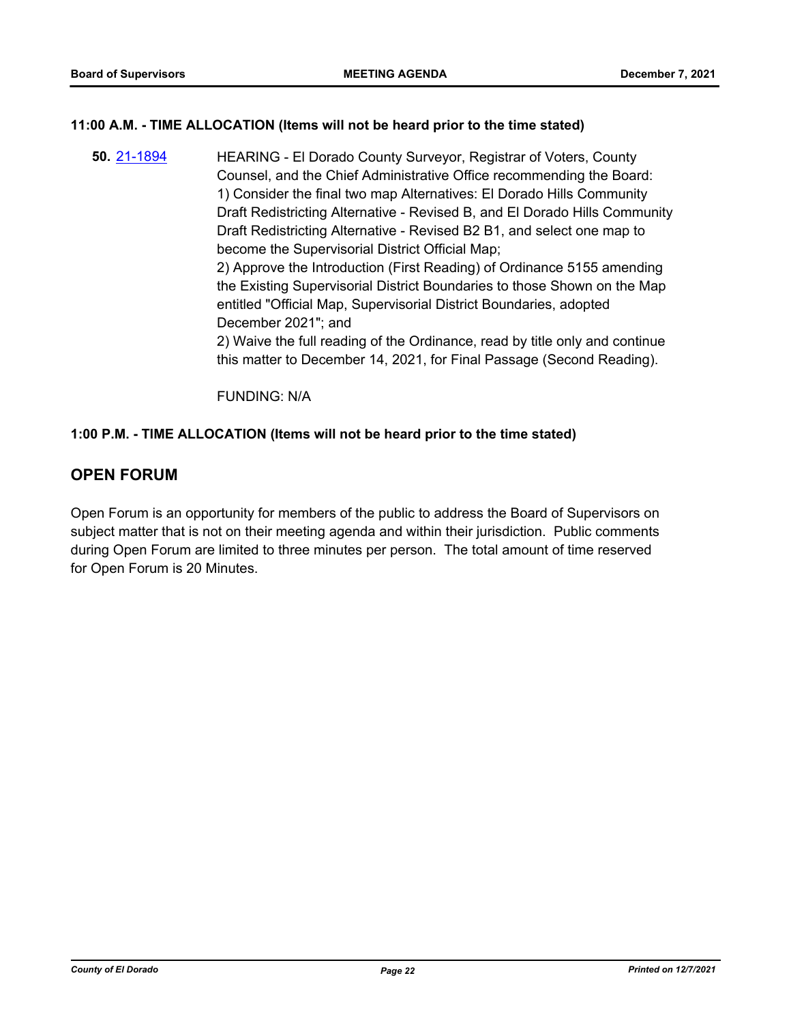## **11:00 A.M. - TIME ALLOCATION (Items will not be heard prior to the time stated)**

HEARING - El Dorado County Surveyor, Registrar of Voters, County Counsel, and the Chief Administrative Office recommending the Board: 1) Consider the final two map Alternatives: El Dorado Hills Community Draft Redistricting Alternative - Revised B, and El Dorado Hills Community Draft Redistricting Alternative - Revised B2 B1, and select one map to become the Supervisorial District Official Map; 2) Approve the Introduction (First Reading) of Ordinance 5155 amending the Existing Supervisorial District Boundaries to those Shown on the Map entitled "Official Map, Supervisorial District Boundaries, adopted December 2021"; and 2) Waive the full reading of the Ordinance, read by title only and continue this matter to December 14, 2021, for Final Passage (Second Reading). **50.** [21-1894](http://eldorado.legistar.com/gateway.aspx?m=l&id=/matter.aspx?key=30790)

FUNDING: N/A

## **1:00 P.M. - TIME ALLOCATION (Items will not be heard prior to the time stated)**

# **OPEN FORUM**

Open Forum is an opportunity for members of the public to address the Board of Supervisors on subject matter that is not on their meeting agenda and within their jurisdiction. Public comments during Open Forum are limited to three minutes per person. The total amount of time reserved for Open Forum is 20 Minutes.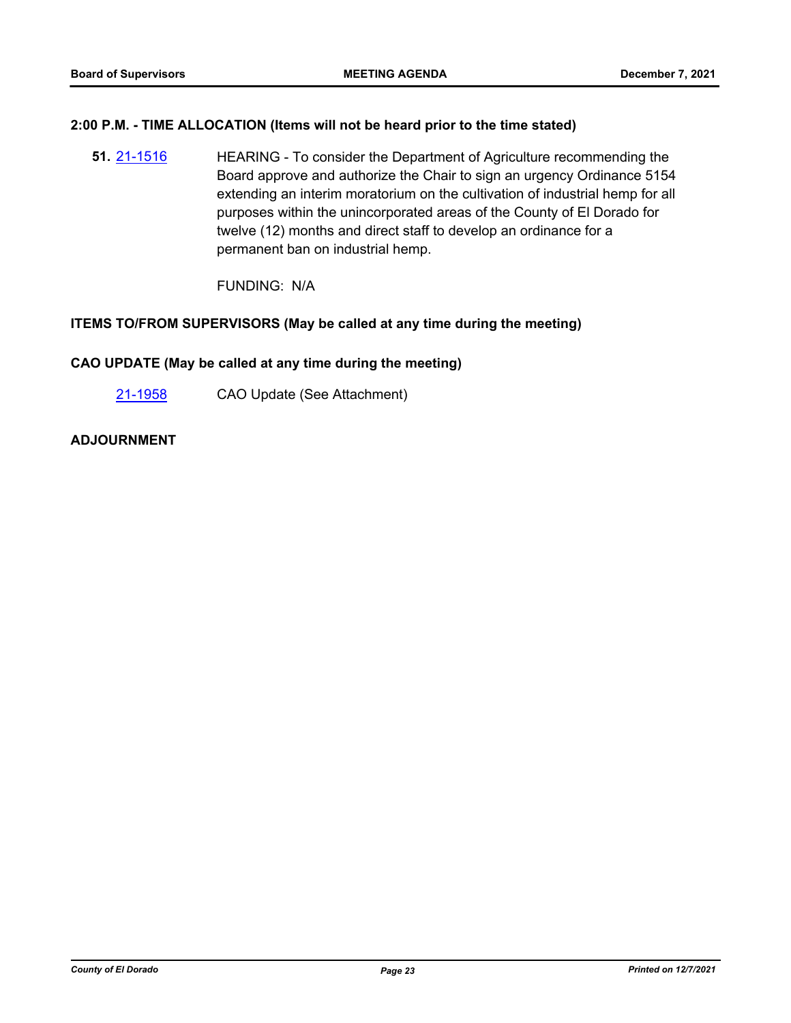#### **2:00 P.M. - TIME ALLOCATION (Items will not be heard prior to the time stated)**

HEARING - To consider the Department of Agriculture recommending the Board approve and authorize the Chair to sign an urgency Ordinance 5154 extending an interim moratorium on the cultivation of industrial hemp for all purposes within the unincorporated areas of the County of El Dorado for twelve (12) months and direct staff to develop an ordinance for a permanent ban on industrial hemp. **51.** [21-1516](http://eldorado.legistar.com/gateway.aspx?m=l&id=/matter.aspx?key=30411)

FUNDING: N/A

### **ITEMS TO/FROM SUPERVISORS (May be called at any time during the meeting)**

## **CAO UPDATE (May be called at any time during the meeting)**

[21-1958](http://eldorado.legistar.com/gateway.aspx?m=l&id=/matter.aspx?key=30854) CAO Update (See Attachment)

### **ADJOURNMENT**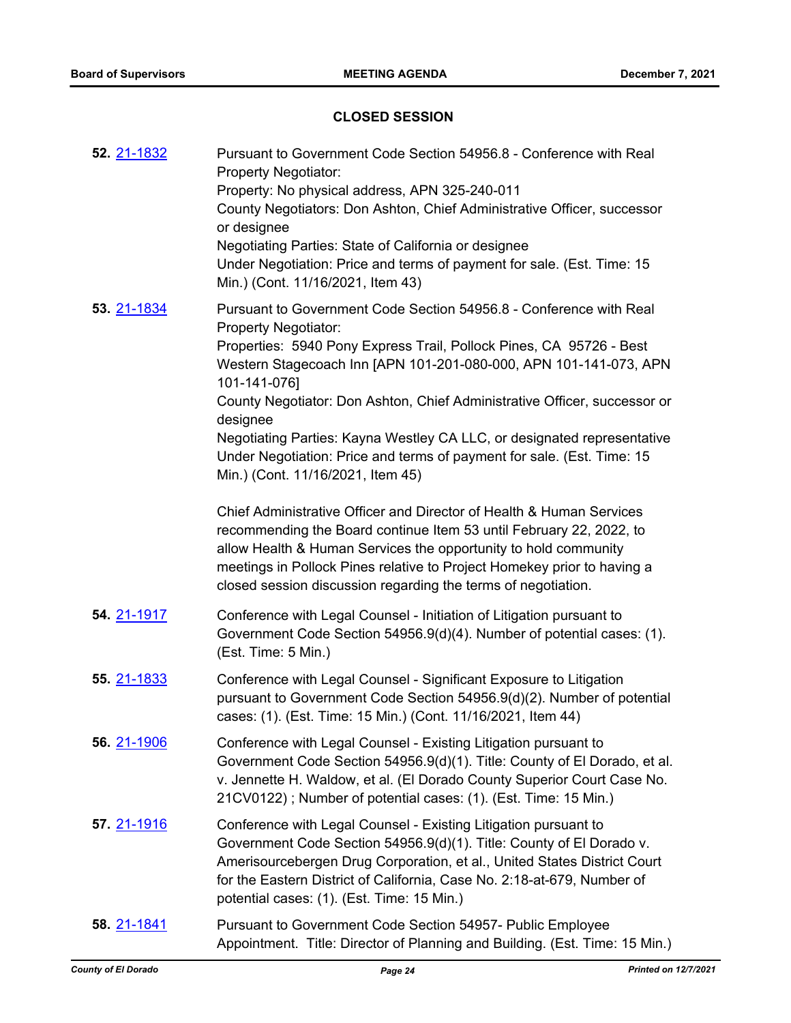## **CLOSED SESSION**

| 52. 21-1832        | Pursuant to Government Code Section 54956.8 - Conference with Real<br><b>Property Negotiator:</b><br>Property: No physical address, APN 325-240-011<br>County Negotiators: Don Ashton, Chief Administrative Officer, successor<br>or designee<br>Negotiating Parties: State of California or designee<br>Under Negotiation: Price and terms of payment for sale. (Est. Time: 15<br>Min.) (Cont. 11/16/2021, Item 43)                                                                                                                                                                                                                                                                            |
|--------------------|-------------------------------------------------------------------------------------------------------------------------------------------------------------------------------------------------------------------------------------------------------------------------------------------------------------------------------------------------------------------------------------------------------------------------------------------------------------------------------------------------------------------------------------------------------------------------------------------------------------------------------------------------------------------------------------------------|
| 53. 21-1834        | Pursuant to Government Code Section 54956.8 - Conference with Real<br><b>Property Negotiator:</b><br>Properties: 5940 Pony Express Trail, Pollock Pines, CA 95726 - Best<br>Western Stagecoach Inn [APN 101-201-080-000, APN 101-141-073, APN<br>101-141-076]<br>County Negotiator: Don Ashton, Chief Administrative Officer, successor or<br>designee<br>Negotiating Parties: Kayna Westley CA LLC, or designated representative<br>Under Negotiation: Price and terms of payment for sale. (Est. Time: 15<br>Min.) (Cont. 11/16/2021, Item 45)<br>Chief Administrative Officer and Director of Health & Human Services<br>recommending the Board continue Item 53 until February 22, 2022, to |
|                    | allow Health & Human Services the opportunity to hold community<br>meetings in Pollock Pines relative to Project Homekey prior to having a<br>closed session discussion regarding the terms of negotiation.                                                                                                                                                                                                                                                                                                                                                                                                                                                                                     |
| 54. 21-1917        | Conference with Legal Counsel - Initiation of Litigation pursuant to<br>Government Code Section 54956.9(d)(4). Number of potential cases: (1).<br>(Est. Time: 5 Min.)                                                                                                                                                                                                                                                                                                                                                                                                                                                                                                                           |
| 55. 21-1833        | Conference with Legal Counsel - Significant Exposure to Litigation<br>pursuant to Government Code Section 54956.9(d)(2). Number of potential<br>cases: (1). (Est. Time: 15 Min.) (Cont. 11/16/2021, Item 44)                                                                                                                                                                                                                                                                                                                                                                                                                                                                                    |
| <b>56.</b> 21-1906 | Conference with Legal Counsel - Existing Litigation pursuant to<br>Government Code Section 54956.9(d)(1). Title: County of El Dorado, et al.<br>v. Jennette H. Waldow, et al. (El Dorado County Superior Court Case No.<br>21CV0122); Number of potential cases: (1). (Est. Time: 15 Min.)                                                                                                                                                                                                                                                                                                                                                                                                      |
| 57. 21-1916        | Conference with Legal Counsel - Existing Litigation pursuant to<br>Government Code Section 54956.9(d)(1). Title: County of El Dorado v.<br>Amerisourcebergen Drug Corporation, et al., United States District Court<br>for the Eastern District of California, Case No. 2:18-at-679, Number of<br>potential cases: (1). (Est. Time: 15 Min.)                                                                                                                                                                                                                                                                                                                                                    |
| <b>58. 21-1841</b> | Pursuant to Government Code Section 54957- Public Employee<br>Appointment. Title: Director of Planning and Building. (Est. Time: 15 Min.)                                                                                                                                                                                                                                                                                                                                                                                                                                                                                                                                                       |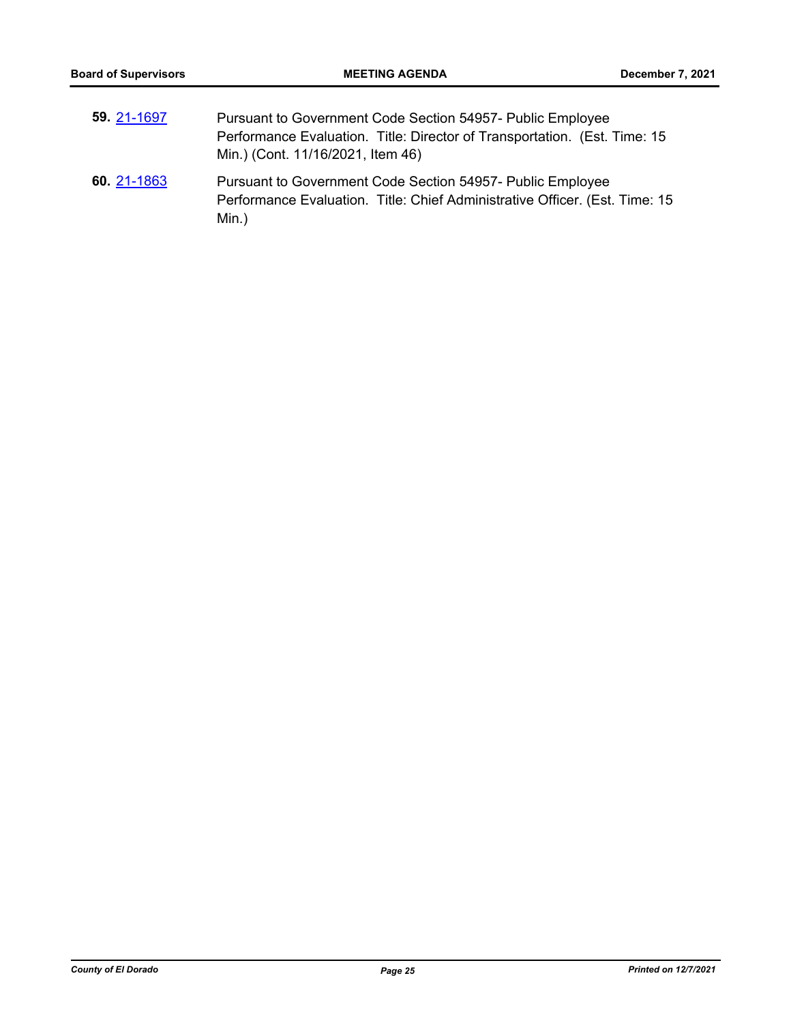Min.)

| 59 21-1697  | Pursuant to Government Code Section 54957- Public Employee<br>Performance Evaluation. Title: Director of Transportation. (Est. Time: 15<br>Min.) (Cont. 11/16/2021, Item 46) |
|-------------|------------------------------------------------------------------------------------------------------------------------------------------------------------------------------|
| 60. 21-1863 | Pursuant to Government Code Section 54957- Public Employee<br>Performance Evaluation. Title: Chief Administrative Officer. (Est. Time: 15                                    |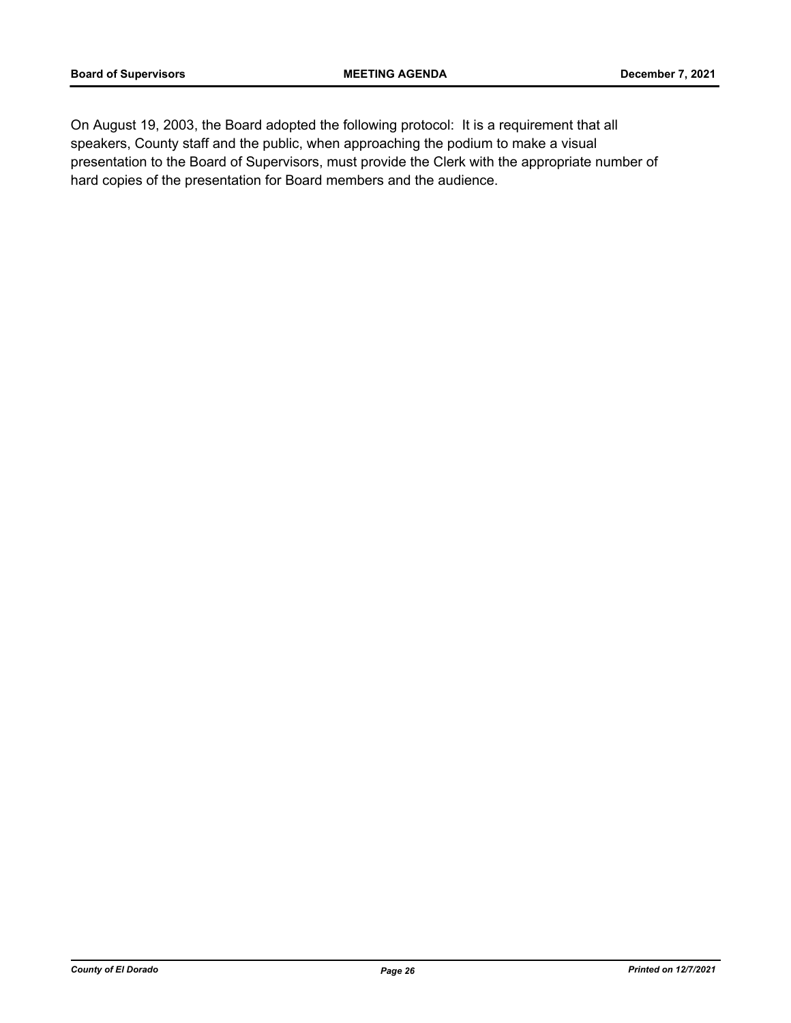On August 19, 2003, the Board adopted the following protocol: It is a requirement that all speakers, County staff and the public, when approaching the podium to make a visual presentation to the Board of Supervisors, must provide the Clerk with the appropriate number of hard copies of the presentation for Board members and the audience.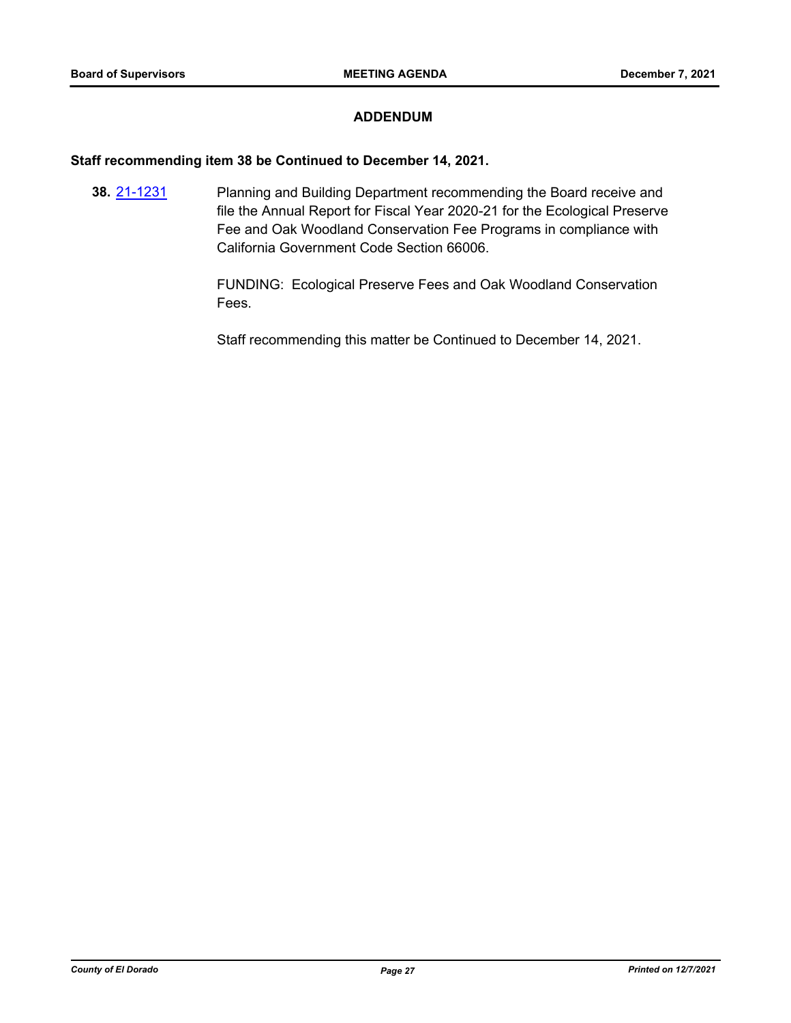## **ADDENDUM**

#### **Staff recommending item 38 be Continued to December 14, 2021.**

Planning and Building Department recommending the Board receive and file the Annual Report for Fiscal Year 2020-21 for the Ecological Preserve Fee and Oak Woodland Conservation Fee Programs in compliance with California Government Code Section 66006. **38.** [21-1231](http://eldorado.legistar.com/gateway.aspx?m=l&id=/matter.aspx?key=30126)

> FUNDING: Ecological Preserve Fees and Oak Woodland Conservation Fees.

Staff recommending this matter be Continued to December 14, 2021.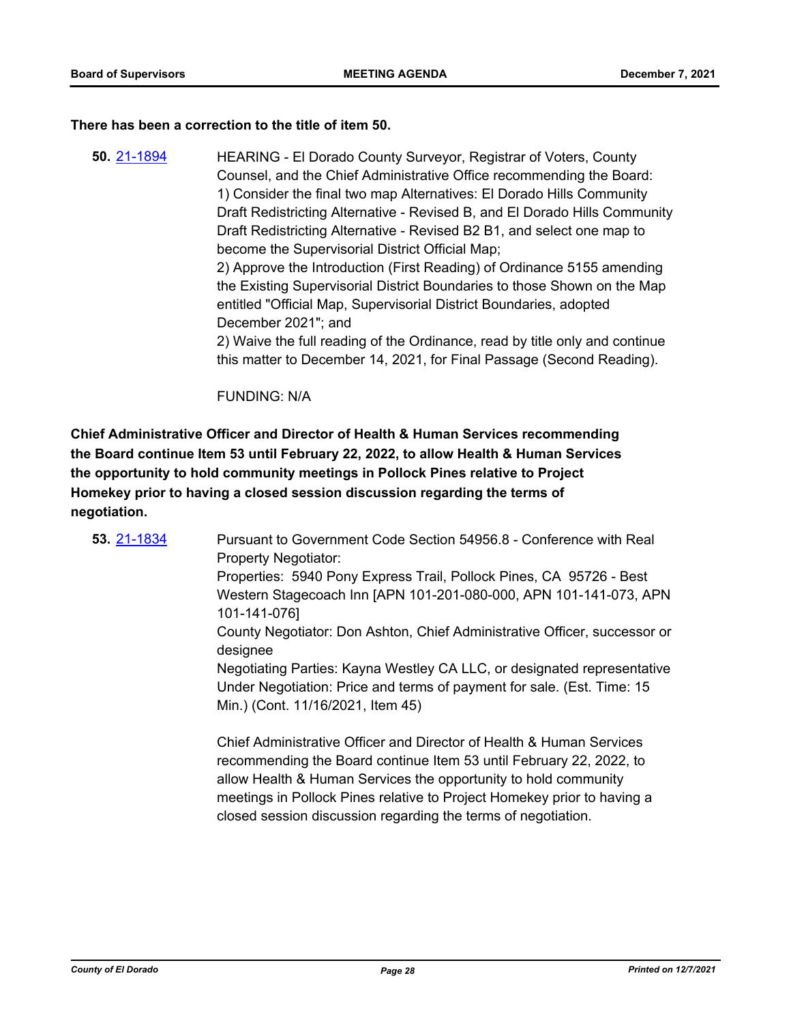#### **There has been a correction to the title of item 50.**

HEARING - El Dorado County Surveyor, Registrar of Voters, County Counsel, and the Chief Administrative Office recommending the Board: 1) Consider the final two map Alternatives: El Dorado Hills Community Draft Redistricting Alternative - Revised B, and El Dorado Hills Community Draft Redistricting Alternative - Revised B2 B1, and select one map to become the Supervisorial District Official Map; 2) Approve the Introduction (First Reading) of Ordinance 5155 amending the Existing Supervisorial District Boundaries to those Shown on the Map entitled "Official Map, Supervisorial District Boundaries, adopted December 2021"; and 2) Waive the full reading of the Ordinance, read by title only and continue this matter to December 14, 2021, for Final Passage (Second Reading). **50.** [21-1894](http://eldorado.legistar.com/gateway.aspx?m=l&id=/matter.aspx?key=30790)

FUNDING: N/A

**Chief Administrative Officer and Director of Health & Human Services recommending the Board continue Item 53 until February 22, 2022, to allow Health & Human Services the opportunity to hold community meetings in Pollock Pines relative to Project Homekey prior to having a closed session discussion regarding the terms of negotiation.**

| 53. 21-1834 | Pursuant to Government Code Section 54956.8 - Conference with Real<br><b>Property Negotiator:</b>                                                                                                                                                                                                                                                          |
|-------------|------------------------------------------------------------------------------------------------------------------------------------------------------------------------------------------------------------------------------------------------------------------------------------------------------------------------------------------------------------|
|             | Properties: 5940 Pony Express Trail, Pollock Pines, CA 95726 - Best                                                                                                                                                                                                                                                                                        |
|             | Western Stagecoach Inn [APN 101-201-080-000, APN 101-141-073, APN<br>101-141-076]                                                                                                                                                                                                                                                                          |
|             | County Negotiator: Don Ashton, Chief Administrative Officer, successor or<br>designee                                                                                                                                                                                                                                                                      |
|             | Negotiating Parties: Kayna Westley CA LLC, or designated representative<br>Under Negotiation: Price and terms of payment for sale. (Est. Time: 15<br>Min.) (Cont. 11/16/2021, Item 45)                                                                                                                                                                     |
|             | Chief Administrative Officer and Director of Health & Human Services<br>recommending the Board continue Item 53 until February 22, 2022, to<br>allow Health & Human Services the opportunity to hold community<br>meetings in Pollock Pines relative to Project Homekey prior to having a<br>closed session discussion regarding the terms of negotiation. |